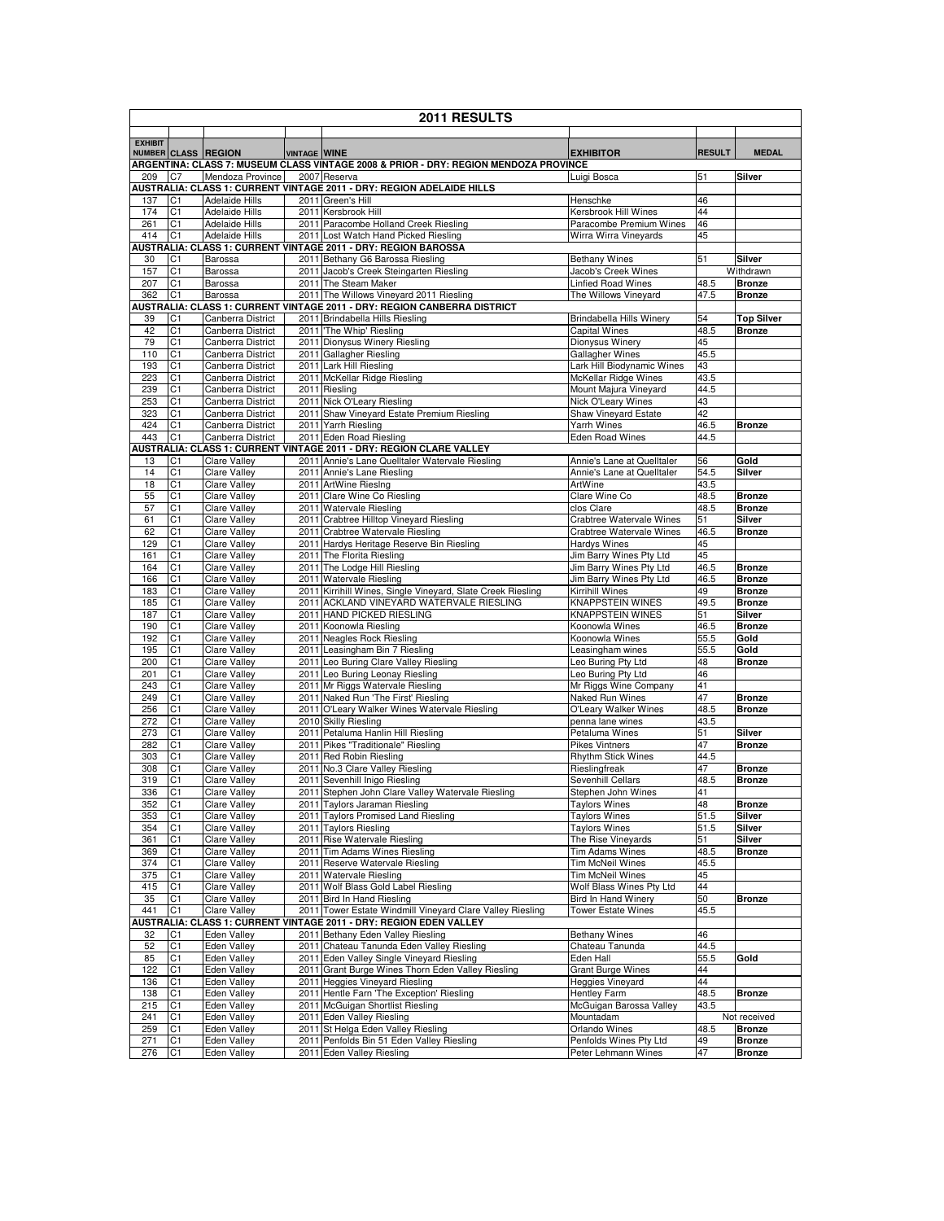|                | 2011 RESULTS                     |                                            |                     |                                                                                                                     |                                               |               |                                |  |  |
|----------------|----------------------------------|--------------------------------------------|---------------------|---------------------------------------------------------------------------------------------------------------------|-----------------------------------------------|---------------|--------------------------------|--|--|
| <b>EXHIBIT</b> |                                  |                                            |                     |                                                                                                                     |                                               |               | <b>MEDAL</b>                   |  |  |
|                |                                  | NUMBER CLASS REGION                        | <b>VINTAGE WINE</b> | ARGENTINA: CLASS 7: MUSEUM CLASS VINTAGE 2008 & PRIOR - DRY: REGION MENDOZA PROVINCE                                | <b>EXHIBITOR</b>                              | <b>RESULT</b> |                                |  |  |
| 209            | C7                               | Mendoza Province                           |                     | 2007 Reserva                                                                                                        | Luigi Bosca                                   | 51            | Silver                         |  |  |
| 137            | C1                               | <b>Adelaide Hills</b>                      |                     | AUSTRALIA: CLASS 1: CURRENT VINTAGE 2011 - DRY: REGION ADELAIDE HILLS<br>2011 Green's Hill                          | Henschke                                      | 46            |                                |  |  |
| 174            | C1                               | <b>Adelaide Hills</b>                      |                     | 2011 Kersbrook Hill                                                                                                 | Kersbrook Hill Wines                          | 44            |                                |  |  |
| 261            | C <sub>1</sub>                   | <b>Adelaide Hills</b>                      |                     | 2011 Paracombe Holland Creek Riesling                                                                               | Paracombe Premium Wines                       | 46            |                                |  |  |
| 414            | C <sub>1</sub>                   | <b>Adelaide Hills</b>                      |                     | 2011 Lost Watch Hand Picked Riesling                                                                                | Wirra Wirra Vineyards                         | 45            |                                |  |  |
| 30             | C1                               | Barossa                                    |                     | AUSTRALIA: CLASS 1: CURRENT VINTAGE 2011 - DRY: REGION BAROSSA<br>2011 Bethany G6 Barossa Riesling                  | <b>Bethany Wines</b>                          | 51            | Silver                         |  |  |
| 157            | C1                               | Barossa                                    |                     | 2011 Jacob's Creek Steingarten Riesling                                                                             | Jacob's Creek Wines                           |               | Withdrawn                      |  |  |
| 207            | C <sub>1</sub>                   | Barossa                                    |                     | 2011 The Steam Maker                                                                                                | <b>Linfied Road Wines</b>                     | 48.5          | <b>Bronze</b>                  |  |  |
| 362            | C <sub>1</sub>                   | <b>Barossa</b>                             |                     | 2011 The Willows Vineyard 2011 Riesling<br>AUSTRALIA: CLASS 1: CURRENT VINTAGE 2011 - DRY: REGION CANBERRA DISTRICT | The Willows Vineyard                          | 47.5          | <b>Bronze</b>                  |  |  |
| 39             | C1                               | Canberra District                          |                     | 2011 Brindabella Hills Riesling                                                                                     | Brindabella Hills Winery                      | 54            | <b>Top Silver</b>              |  |  |
| 42             | C1                               | Canberra District                          |                     | 2011 The Whip' Riesling                                                                                             | <b>Capital Wines</b>                          | 48.5          | <b>Bronze</b>                  |  |  |
| 79             | C1                               | Canberra District                          |                     | 2011 Dionysus Winery Riesling                                                                                       | Dionysus Winery                               | 45            |                                |  |  |
| 110<br>193     | C1<br>C <sub>1</sub>             | Canberra District<br>Canberra District     |                     | 2011 Gallagher Riesling<br>2011 Lark Hill Riesling                                                                  | Gallagher Wines<br>Lark Hill Biodynamic Wines | 45.5<br>43    |                                |  |  |
| 223            | C1                               | Canberra District                          |                     | 2011 McKellar Ridge Riesling                                                                                        | McKellar Ridge Wines                          | 43.5          |                                |  |  |
| 239            | C1                               | Canberra District                          |                     | 2011 Riesling                                                                                                       | Mount Majura Vineyard                         | 44.5          |                                |  |  |
| 253            | C1                               | Canberra District                          |                     | 2011 Nick O'Leary Riesling                                                                                          | Nick O'Leary Wines                            | 43            |                                |  |  |
| 323<br>424     | C <sub>1</sub><br>C1             | Canberra District<br>Canberra District     |                     | 2011 Shaw Vineyard Estate Premium Riesling<br>2011 Yarrh Riesling                                                   | Shaw Vineyard Estate<br><b>Yarrh Wines</b>    | 42<br>46.5    | <b>Bronze</b>                  |  |  |
| 443            | C <sub>1</sub>                   | Canberra District                          |                     | 2011 Eden Road Riesling                                                                                             | <b>Eden Road Wines</b>                        | 44.5          |                                |  |  |
|                |                                  |                                            |                     | AUSTRALIA: CLASS 1: CURRENT VINTAGE 2011 - DRY: REGION CLARE VALLEY                                                 |                                               |               |                                |  |  |
| 13             | C <sub>1</sub>                   | <b>Clare Valley</b>                        |                     | 2011 Annie's Lane Quelltaler Watervale Riesling                                                                     | Annie's Lane at Quelltaler                    | 56            | Gold                           |  |  |
| 14<br>18       | C1<br>C1                         | <b>Clare Valley</b><br>Clare Valley        |                     | 2011 Annie's Lane Riesling<br>2011 ArtWine RiesIng                                                                  | Annie's Lane at Quelltaler<br>ArtWine         | 54.5<br>43.5  | Silver                         |  |  |
| 55             | C <sub>1</sub>                   | Clare Valley                               |                     | 2011 Clare Wine Co Riesling                                                                                         | Clare Wine Co                                 | 48.5          | <b>Bronze</b>                  |  |  |
| 57             | C <sub>1</sub>                   | <b>Clare Valley</b>                        |                     | 2011 Watervale Riesling                                                                                             | clos Clare                                    | 48.5          | <b>Bronze</b>                  |  |  |
| 61             | C1                               | <b>Clare Valley</b>                        |                     | 2011 Crabtree Hilltop Vineyard Riesling                                                                             | Crabtree Watervale Wines                      | 51            | Silver                         |  |  |
| 62<br>129      | C <sub>1</sub><br>C <sub>1</sub> | <b>Clare Valley</b><br>Clare Valley        |                     | 2011 Crabtree Watervale Riesling<br>2011 Hardys Heritage Reserve Bin Riesling                                       | Crabtree Watervale Wines<br>Hardys Wines      | 46.5<br>45    | <b>Bronze</b>                  |  |  |
| 161            | C <sub>1</sub>                   | Clare Valley                               |                     | 2011 The Florita Riesling                                                                                           | Jim Barry Wines Pty Ltd                       | 45            |                                |  |  |
| 164            | C1                               | <b>Clare Valley</b>                        |                     | 2011 The Lodge Hill Riesling                                                                                        | Jim Barry Wines Pty Ltd                       | 46.5          | <b>Bronze</b>                  |  |  |
| 166<br>183     | C1<br>C1                         | <b>Clare Valley</b><br>Clare Valley        |                     | 2011 Watervale Riesling<br>2011 Kirrihill Wines, Single Vineyard, Slate Creek Riesling                              | Jim Barry Wines Pty Ltd<br>Kirrihill Wines    | 46.5<br>49    | <b>Bronze</b><br><b>Bronze</b> |  |  |
| 185            | C1                               | Clare Valley                               |                     | 2011 ACKLAND VINEYARD WATERVALE RIESLING                                                                            | <b>KNAPPSTEIN WINES</b>                       | 49.5          | <b>Bronze</b>                  |  |  |
| 187            | C1                               | <b>Clare Valley</b>                        |                     | 2011 HAND PICKED RIESLING                                                                                           | <b>KNAPPSTEIN WINES</b>                       | 51            | Silver                         |  |  |
| 190            | C <sub>1</sub>                   | <b>Clare Valley</b>                        |                     | 2011 Koonowla Riesling                                                                                              | Koonowla Wines                                | 46.5          | <b>Bronze</b>                  |  |  |
| 192<br>195     | C1<br>C1                         | Clare Valley<br><b>Clare Valley</b>        |                     | 2011 Neagles Rock Riesling<br>2011 Leasingham Bin 7 Riesling                                                        | Koonowla Wines<br>Leasingham wines            | 55.5<br>55.5  | Gold<br>Gold                   |  |  |
| 200            | C <sub>1</sub>                   | <b>Clare Valley</b>                        |                     | 2011 Leo Buring Clare Valley Riesling                                                                               | Leo Buring Pty Ltd                            | 48            | <b>Bronze</b>                  |  |  |
| 201            | C1                               | Clare Valley                               |                     | 2011 Leo Buring Leonay Riesling                                                                                     | Leo Buring Pty Ltd                            | 46            |                                |  |  |
| 243            | C <sub>1</sub>                   | Clare Valley                               |                     | 2011 Mr Riggs Watervale Riesling                                                                                    | Mr Riggs Wine Company                         | 41<br>47      |                                |  |  |
| 249<br>256     | C1<br>C <sub>1</sub>             | <b>Clare Valley</b><br><b>Clare Valley</b> |                     | 2011 Naked Run 'The First' Riesling<br>2011 O'Leary Walker Wines Watervale Riesling                                 | Naked Run Wines<br>O'Leary Walker Wines       | 48.5          | <b>Bronze</b><br><b>Bronze</b> |  |  |
| 272            | C1                               | <b>Clare Valley</b>                        |                     | 2010 Skilly Riesling                                                                                                | penna lane wines                              | 43.5          |                                |  |  |
| 273            | C <sub>1</sub>                   | <b>Clare Valley</b>                        |                     | 2011 Petaluma Hanlin Hill Riesling                                                                                  | Petaluma Wines                                | 51            | Silver                         |  |  |
| 282            | C1                               | <b>Clare Valley</b><br>Clare Valley        |                     | 2011 Pikes "Traditionale" Riesling                                                                                  | <b>Pikes Vintners</b>                         | 47            | <b>Bronze</b>                  |  |  |
| 303<br>308     | C1<br>C1                         | <b>Clare Valley</b>                        |                     | 2011 Red Robin Riesling<br>2011 No.3 Clare Valley Riesling                                                          | <b>Rhythm Stick Wines</b><br>Rieslingfreak    | 44.5<br>47    | <b>Bronze</b>                  |  |  |
| 319            | C1                               | Clare Valley                               |                     | 2011 Sevenhill Inigo Riesling                                                                                       | Sevenhill Cellars                             | 48.5          | <b>Bronze</b>                  |  |  |
| 336            | C <sub>1</sub>                   | <b>Clare Valley</b>                        |                     | 2011 Stephen John Clare Valley Watervale Riesling                                                                   | Stephen John Wines                            | 41            |                                |  |  |
| 352<br>353     | C <sub>1</sub><br>C <sub>1</sub> | Clare Valley<br><b>Clare Valley</b>        |                     | 2011 Taylors Jaraman Riesling<br>2011 Taylors Promised Land Riesling                                                | <b>Taylors Wines</b><br><b>Taylors Wines</b>  | 48<br>51.5    | <b>Bronze</b><br>Silver        |  |  |
| 354            | C1                               | <b>Clare Valley</b>                        |                     | 2011 Taylors Riesling                                                                                               | <b>Taylors Wines</b>                          | 51.5          | Silver                         |  |  |
| 361            | C1                               | Clare Valley                               |                     | 2011 Rise Watervale Riesling                                                                                        | The Rise Vineyards                            | 51            | Silver                         |  |  |
| 369            | C1                               | Clare Valley                               |                     | 2011 Tim Adams Wines Riesling                                                                                       | Tim Adams Wines                               | 48.5          | <b>Bronze</b>                  |  |  |
| 374            | C1                               | <b>Clare Valley</b>                        |                     | 2011 Reserve Watervale Riesling                                                                                     | Tim McNeil Wines<br><b>Tim McNeil Wines</b>   | 45.5          |                                |  |  |
| 375<br>415     | C1<br>C1                         | <b>Clare Valley</b><br><b>Clare Valley</b> |                     | 2011 Watervale Riesling<br>2011 Wolf Blass Gold Label Riesling                                                      | Wolf Blass Wines Pty Ltd                      | 45<br>44      |                                |  |  |
| 35             | C1                               | <b>Clare Valley</b>                        |                     | 2011 Bird In Hand Riesling                                                                                          | <b>Bird In Hand Winery</b>                    | 50            | <b>Bronze</b>                  |  |  |
| 441            | C1                               | <b>Clare Valley</b>                        |                     | 2011 Tower Estate Windmill Vineyard Clare Valley Riesling                                                           | <b>Tower Estate Wines</b>                     | 45.5          |                                |  |  |
| 32             | C1                               | <b>Eden Valley</b>                         |                     | AUSTRALIA: CLASS 1: CURRENT VINTAGE 2011 - DRY: REGION EDEN VALLEY<br>2011 Bethany Eden Valley Riesling             | <b>Bethany Wines</b>                          | 46            |                                |  |  |
| 52             | C1                               | Eden Valley                                |                     | 2011 Chateau Tanunda Eden Valley Riesling                                                                           | Chateau Tanunda                               | 44.5          |                                |  |  |
| 85             | C <sub>1</sub>                   | Eden Valley                                |                     | 2011 Eden Valley Single Vineyard Riesling                                                                           | Eden Hall                                     | 55.5          | Gold                           |  |  |
| 122            | C <sub>1</sub>                   | Eden Valley                                |                     | 2011 Grant Burge Wines Thorn Eden Valley Riesling                                                                   | <b>Grant Burge Wines</b>                      | 44            |                                |  |  |
| 136<br>138     | C <sub>1</sub><br>C1             | Eden Valley<br>Eden Valley                 |                     | 2011 Heggies Vineyard Riesling<br>2011 Hentle Farn 'The Exception' Riesling                                         | Heggies Vineyard<br><b>Hentley Farm</b>       | 44<br>48.5    | <b>Bronze</b>                  |  |  |
| 215            | C1                               | Eden Valley                                |                     | 2011 McGuigan Shortlist Riesling                                                                                    | McGuigan Barossa Valley                       | 43.5          |                                |  |  |
| 241            | C1                               | Eden Valley                                |                     | 2011 Eden Valley Riesling                                                                                           | Mountadam                                     |               | Not received                   |  |  |
| 259            | C1                               | Eden Valley                                |                     | 2011 St Helga Eden Valley Riesling                                                                                  | Orlando Wines                                 | 48.5          | <b>Bronze</b>                  |  |  |
| 271<br>276     | C1<br>C <sub>1</sub>             | <b>Eden Valley</b><br>Eden Valley          |                     | 2011 Penfolds Bin 51 Eden Valley Riesling<br>2011 Eden Valley Riesling                                              | Penfolds Wines Pty Ltd<br>Peter Lehmann Wines | 49<br>47      | <b>Bronze</b><br><b>Bronze</b> |  |  |
|                |                                  |                                            |                     |                                                                                                                     |                                               |               |                                |  |  |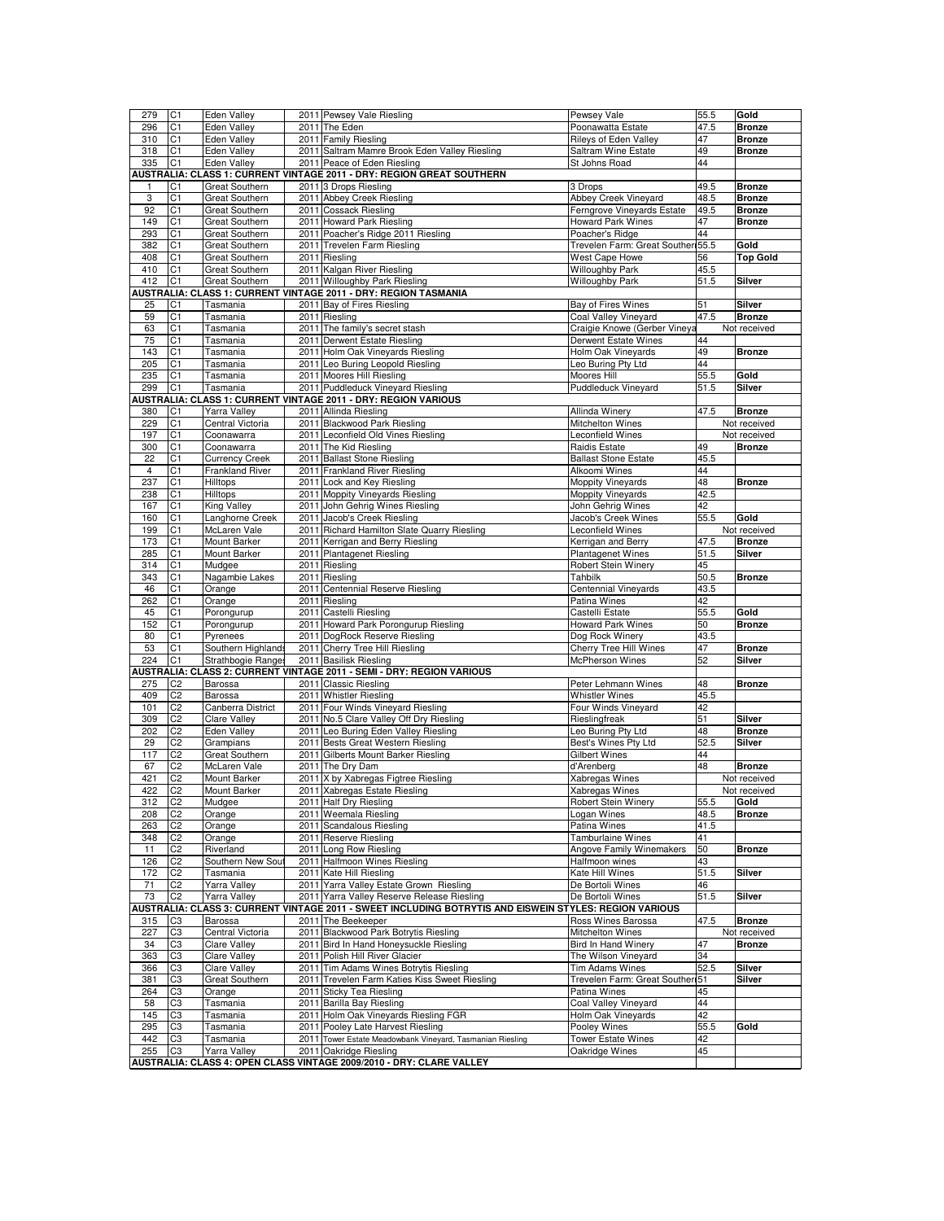| 279            | C1             | Eden Valley            |      | 2011 Pewsey Vale Riesling                                                                              | Pewsey Vale                       | 55.5 | Gold            |
|----------------|----------------|------------------------|------|--------------------------------------------------------------------------------------------------------|-----------------------------------|------|-----------------|
| 296            | C <sub>1</sub> | Eden Valley            |      | 2011 The Eden                                                                                          | Poonawatta Estate                 | 47.5 | <b>Bronze</b>   |
| 310            |                | <b>Eden Valley</b>     |      | 2011 Family Riesling                                                                                   | <b>Rileys of Eden Valley</b>      | 47   | <b>Bronze</b>   |
|                | C1             |                        |      |                                                                                                        |                                   |      |                 |
| 318            | C <sub>1</sub> | <b>Eden Valley</b>     |      | 2011 Saltram Mamre Brook Eden Valley Riesling                                                          | Saltram Wine Estate               | 49   | <b>Bronze</b>   |
| 335            | C1             | Eden Valley            |      | 2011 Peace of Eden Riesling                                                                            | St Johns Road                     | 44   |                 |
|                |                |                        |      | AUSTRALIA: CLASS 1: CURRENT VINTAGE 2011 - DRY: REGION GREAT SOUTHERN                                  |                                   |      |                 |
| 1              | C1             | <b>Great Southern</b>  |      | 2011 3 Drops Riesling                                                                                  | 3 Drops                           | 49.5 | <b>Bronze</b>   |
| 3              | C1             | <b>Great Southern</b>  |      | 2011 Abbey Creek Riesling                                                                              | Abbey Creek Vineyard              | 48.5 | <b>Bronze</b>   |
| 92             | C <sub>1</sub> | Great Southern         |      | 2011 Cossack Riesling                                                                                  | Ferngrove Vineyards Estate        | 49.5 | <b>Bronze</b>   |
|                |                |                        |      | 2011 Howard Park Riesling                                                                              | <b>Howard Park Wines</b>          | 47   |                 |
| 149            | C <sub>1</sub> | Great Southern         |      |                                                                                                        |                                   |      | <b>Bronze</b>   |
| 293            | C1             | Great Southern         |      | 2011 Poacher's Ridge 2011 Riesling                                                                     | Poacher's Ridge                   | 44   |                 |
| 382            | C1             | Great Southern         |      | 2011 Trevelen Farm Riesling                                                                            | Trevelen Farm: Great Souther 55.5 |      | Gold            |
| 408            | C <sub>1</sub> | Great Southern         |      | 2011 Riesling                                                                                          | West Cape Howe                    | 56   | <b>Top Gold</b> |
| 410            | C <sub>1</sub> | Great Southern         |      | 2011 Kalgan River Riesling                                                                             | Willoughby Park                   | 45.5 |                 |
| 412            | C <sub>1</sub> | Great Southern         |      | 2011 Willoughby Park Riesling                                                                          | Willoughby Park                   | 51.5 | Silver          |
|                |                |                        |      | AUSTRALIA: CLASS 1: CURRENT VINTAGE 2011 - DRY: REGION TASMANIA                                        |                                   |      |                 |
|                |                |                        |      |                                                                                                        | Bay of Fires Wines                |      | Silver          |
| 25             | C1             | Tasmania               |      | 2011 Bay of Fires Riesling                                                                             |                                   | 51   |                 |
| 59             | C <sub>1</sub> | Tasmania               |      | 2011 Riesling                                                                                          | Coal Valley Vineyard              | 47.5 | <b>Bronze</b>   |
| 63             | C1             | Tasmania               |      | 2011 The family's secret stash                                                                         | Craigie Knowe (Gerber Vineya      |      | Not received    |
| 75             | C <sub>1</sub> | Tasmania               |      | 2011 Derwent Estate Riesling                                                                           | Derwent Estate Wines              | 44   |                 |
| 143            | C <sub>1</sub> | Tasmania               |      | 2011 Holm Oak Vineyards Riesling                                                                       | Holm Oak Vineyards                | 49   | <b>Bronze</b>   |
| 205            | C <sub>1</sub> | Tasmania               |      | 2011 Leo Buring Leopold Riesling                                                                       | Leo Buring Pty Ltd                | 44   |                 |
|                |                |                        |      |                                                                                                        |                                   |      |                 |
| 235            | C <sub>1</sub> | Tasmania               |      | 2011 Moores Hill Riesling                                                                              | Moores Hill                       | 55.5 | Gold            |
| 299            | C <sub>1</sub> | Tasmania               |      | 2011 Puddleduck Vineyard Riesling                                                                      | <b>Puddleduck Vineyard</b>        | 51.5 | Silver          |
|                |                |                        |      | AUSTRALIA: CLASS 1: CURRENT VINTAGE 2011 - DRY: REGION VARIOUS                                         |                                   |      |                 |
| 380            | C1             | Yarra Valley           |      | 2011 Allinda Riesling                                                                                  | Allinda Winery                    | 47.5 | <b>Bronze</b>   |
| 229            | C <sub>1</sub> | Central Victoria       |      | 2011 Blackwood Park Riesling                                                                           | Mitchelton Wines                  |      | Not received    |
|                |                |                        |      |                                                                                                        |                                   |      |                 |
| 197            | C <sub>1</sub> | Coonawarra             |      | 2011 Leconfield Old Vines Riesling                                                                     | <b>Leconfield Wines</b>           |      | Not received    |
| 300            | C <sub>1</sub> | Coonawarra             |      | 2011 The Kid Riesling                                                                                  | Raidis Estate                     | 49   | <b>Bronze</b>   |
| 22             | C1             | <b>Currency Creek</b>  |      | 2011 Ballast Stone Riesling                                                                            | <b>Ballast Stone Estate</b>       | 45.5 |                 |
| $\overline{4}$ | C1             | <b>Frankland River</b> |      | 2011 Frankland River Riesling                                                                          | Alkoomi Wines                     | 44   |                 |
| 237            | C <sub>1</sub> | <b>Hilltops</b>        |      | 2011 Lock and Key Riesling                                                                             | Moppity Vineyards                 | 48   | <b>Bronze</b>   |
|                |                |                        |      |                                                                                                        |                                   |      |                 |
| 238            | C1             | <b>Hilltops</b>        |      | 2011 Moppity Vineyards Riesling                                                                        | Moppity Vineyards                 | 42.5 |                 |
| 167            | C1             | King Valley            |      | 2011 John Gehrig Wines Riesling                                                                        | John Gehrig Wines                 | 42   |                 |
| 160            | C <sub>1</sub> | Langhorne Creek        |      | 2011 Jacob's Creek Riesling                                                                            | Jacob's Creek Wines               | 55.5 | Gold            |
| 199            | C1             | McLaren Vale           |      | 2011 Richard Hamilton Slate Quarry Riesling                                                            | Leconfield Wines                  |      | Not received    |
| 173            | C1             | Mount Barker           |      | 2011 Kerrigan and Berry Riesling                                                                       | Kerrigan and Berry                | 47.5 | <b>Bronze</b>   |
|                |                |                        |      |                                                                                                        |                                   |      |                 |
| 285            | C1             | Mount Barker           |      | 2011 Plantagenet Riesling                                                                              | <b>Plantagenet Wines</b>          | 51.5 | Silver          |
| 314            | C1             | Mudgee                 |      | 2011 Riesling                                                                                          | Robert Stein Winery               | 45   |                 |
| 343            | C1             | Nagambie Lakes         |      | 2011 Riesling                                                                                          | <b>Tahbilk</b>                    | 50.5 | <b>Bronze</b>   |
| 46             | C1             | Orange                 |      | 2011 Centennial Reserve Riesling                                                                       | Centennial Vineyards              | 43.5 |                 |
| 262            | C1             | Orange                 |      | 2011 Riesling                                                                                          | Patina Wines                      | 42   |                 |
|                |                |                        |      |                                                                                                        |                                   |      |                 |
| 45             | C1             | Porongurup             |      | 2011 Castelli Riesling                                                                                 | Castelli Estate                   | 55.5 | Gold            |
| 152            | C1             | Porongurup             |      | 2011 Howard Park Porongurup Riesling                                                                   | <b>Howard Park Wines</b>          | 50   | <b>Bronze</b>   |
| 80             | C <sub>1</sub> | Pyrenees               |      | 2011 DogRock Reserve Riesling                                                                          | Dog Rock Winery                   | 43.5 |                 |
| 53             | C <sub>1</sub> | Southern Highlands     |      | 2011 Cherry Tree Hill Riesling                                                                         | Cherry Tree Hill Wines            | 47   | <b>Bronze</b>   |
|                |                |                        |      | 2011 Basilisk Riesling                                                                                 | McPherson Wines                   |      | Silver          |
|                |                |                        |      |                                                                                                        |                                   |      |                 |
| 224            | C <sub>1</sub> | Strathbogie Range      |      |                                                                                                        |                                   | 52   |                 |
|                |                |                        |      | AUSTRALIA: CLASS 2: CURRENT VINTAGE 2011 - SEMI - DRY: REGION VARIOUS                                  |                                   |      |                 |
| 275            | C <sub>2</sub> | Barossa                |      | 2011 Classic Riesling                                                                                  | Peter Lehmann Wines               | 48   | <b>Bronze</b>   |
| 409            | C <sub>2</sub> | Barossa                |      | 2011 Whistler Riesling                                                                                 | <b>Whistler Wines</b>             | 45.5 |                 |
| 101            | C2             | Canberra District      |      |                                                                                                        | Four Winds Vineyard               | 42   |                 |
|                |                |                        |      | 2011 Four Winds Vineyard Riesling                                                                      |                                   |      |                 |
| 309            | C <sub>2</sub> | <b>Clare Valley</b>    |      | 2011 No.5 Clare Valley Off Dry Riesling                                                                | Rieslingfreak                     | 51   | Silver          |
| 202            | C <sub>2</sub> | <b>Eden Valley</b>     |      | 2011 Leo Buring Eden Valley Riesling                                                                   | Leo Buring Pty Ltd                | 48   | <b>Bronze</b>   |
| 29             | C <sub>2</sub> | Grampians              |      | 2011 Bests Great Western Riesling                                                                      | Best's Wines Pty Ltd              | 52.5 | Silver          |
| 117            | C2             | Great Southern         |      | 2011 Gilberts Mount Barker Riesling                                                                    | Gilbert Wines                     | 44   |                 |
| 67             | C2             | McLaren Vale           |      | 2011 The Dry Dam                                                                                       | d'Arenberg                        | 48   | <b>Bronze</b>   |
| 421            | C2             | Mount Barker           |      | 2011 X by Xabregas Figtree Riesling                                                                    | Xabregas Wines                    |      | Not received    |
|                |                |                        |      |                                                                                                        |                                   |      |                 |
| 422            | C <sub>2</sub> | Mount Barker           |      | 2011 Xabregas Estate Riesling                                                                          | Xabregas Wines                    |      | Not received    |
| 312            | C2             | Mudgee                 |      | 2011 Half Dry Riesling                                                                                 | Robert Stein Winery               | 55.5 | Gold            |
| 208            | C <sub>2</sub> | Orange                 |      | 2011 Weemala Riesling                                                                                  | Logan Wines                       | 48.5 | <b>Bronze</b>   |
| 263            | C2             | Orange                 |      | 2011 Scandalous Riesling                                                                               | Patina Wines                      | 41.5 |                 |
| 348            | C2             | Orange                 |      | 2011 Reserve Riesling                                                                                  | Tamburlaine Wines                 | 41   |                 |
|                |                |                        |      |                                                                                                        |                                   |      |                 |
| 11             | C2             | Riverland              |      | 2011 Long Row Riesling                                                                                 | Angove Family Winemakers          | 50   | <b>Bronze</b>   |
| 126            | C <sub>2</sub> | Southern New Sout      |      | 2011 Halfmoon Wines Riesling                                                                           | Halfmoon wines                    | 43   |                 |
| 172            | C <sub>2</sub> | Tasmania               |      | 2011 Kate Hill Riesling                                                                                | Kate Hill Wines                   | 51.5 | Silver          |
| 71             | C2             | Yarra Valley           |      | 2011 Yarra Valley Estate Grown Riesling                                                                | De Bortoli Wines                  | 46   |                 |
| 73             | C2             | Yarra Valley           | 2011 | Yarra Valley Reserve Release Riesling                                                                  | De Bortoli Wines                  | 51.5 | Silver          |
|                |                |                        |      |                                                                                                        |                                   |      |                 |
|                |                |                        |      | AUSTRALIA: CLASS 3: CURRENT VINTAGE 2011 - SWEET INCLUDING BOTRYTIS AND EISWEIN STYLES: REGION VARIOUS |                                   |      |                 |
| 315            | CЗ             | Barossa                |      | 2011 The Beekeeper                                                                                     | Ross Wines Barossa                | 47.5 | <b>Bronze</b>   |
| 227            | CЗ             | Central Victoria       | 2011 | Blackwood Park Botrytis Riesling                                                                       | Mitchelton Wines                  |      | Not received    |
| 34             | C <sub>3</sub> | <b>Clare Valley</b>    |      | 2011 Bird In Hand Honeysuckle Riesling                                                                 | <b>Bird In Hand Winery</b>        | 47   | <b>Bronze</b>   |
| 363            | C <sub>3</sub> | <b>Clare Valley</b>    |      | 2011 Polish Hill River Glacier                                                                         | The Wilson Vineyard               | 34   |                 |
|                |                |                        |      |                                                                                                        |                                   |      |                 |
| 366            | CЗ             | <b>Clare Valley</b>    |      | 2011 Tim Adams Wines Botrytis Riesling                                                                 | Tim Adams Wines                   | 52.5 | Silver          |
| 381            | CЗ             | Great Southern         |      | 2011 Trevelen Farm Katies Kiss Sweet Riesling                                                          | Trevelen Farm: Great Souther      | 51   | Silver          |
| 264            | CЗ             | Orange                 | 2011 | <b>Sticky Tea Riesling</b>                                                                             | Patina Wines                      | 45   |                 |
| 58             | CЗ             | Tasmania               | 2011 | <b>Barilla Bay Riesling</b>                                                                            | Coal Valley Vineyard              | 44   |                 |
|                |                | Tasmania               |      |                                                                                                        |                                   | 42   |                 |
| 145            | C3             |                        |      | 2011 Holm Oak Vineyards Riesling FGR                                                                   | Holm Oak Vineyards                |      |                 |
| 295            | CЗ             | Tasmania               |      | 2011 Pooley Late Harvest Riesling                                                                      | Pooley Wines                      | 55.5 | Gold            |
| 442            | C3             | Tasmania               | 2011 | Tower Estate Meadowbank Vineyard, Tasmanian Riesling                                                   | <b>Tower Estate Wines</b>         | 42   |                 |
| 255            | C3             | Yarra Valley           |      | 2011 Oakridge Riesling<br>AUSTRALIA: CLASS 4: OPEN CLASS VINTAGE 2009/2010 - DRY: CLARE VALLEY         | Oakridge Wines                    | 45   |                 |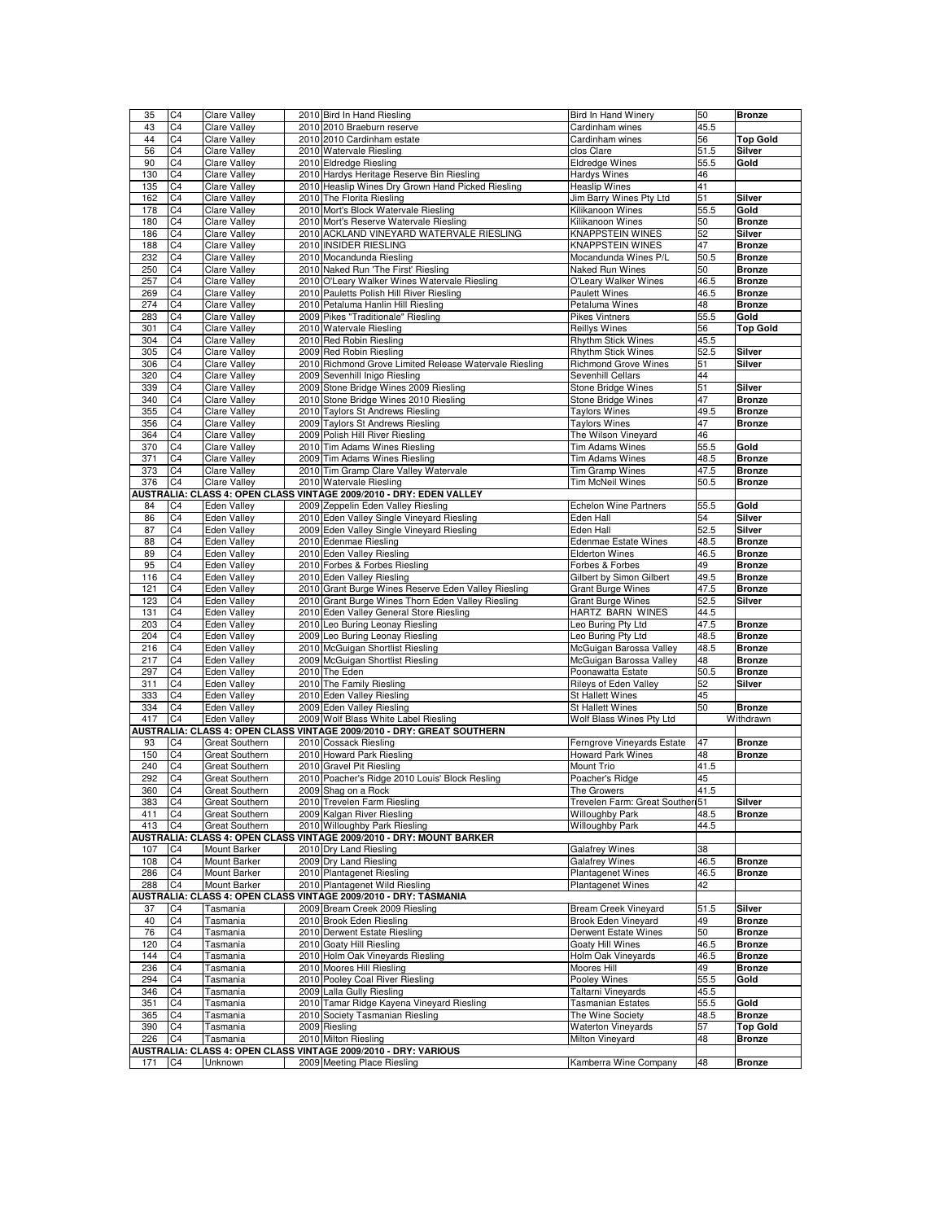| 35  | C <sub>4</sub> | <b>Clare Valley</b>                   | 2010 Bird In Hand Riesling                                                              | Bird In Hand Winery             | 50   | <b>Bronze</b>   |
|-----|----------------|---------------------------------------|-----------------------------------------------------------------------------------------|---------------------------------|------|-----------------|
| 43  | C <sub>4</sub> | <b>Clare Valley</b>                   | 2010 2010 Braeburn reserve                                                              | Cardinham wines                 | 45.5 |                 |
| 44  | C4             | <b>Clare Valley</b>                   | 2010 2010 Cardinham estate                                                              | Cardinham wines                 | 56   | <b>Top Gold</b> |
| 56  | C <sub>4</sub> | <b>Clare Valley</b>                   | 2010 Watervale Riesling                                                                 | clos Clare                      | 51.5 | Silver          |
| 90  | C4             | <b>Clare Valley</b>                   | 2010 Eldredge Riesling                                                                  | <b>Eldredge Wines</b>           | 55.5 | Gold            |
| 130 | C <sub>4</sub> | <b>Clare Valley</b>                   | 2010 Hardys Heritage Reserve Bin Riesling                                               | Hardys Wines                    | 46   |                 |
| 135 | C4             | <b>Clare Valley</b>                   | 2010 Heaslip Wines Dry Grown Hand Picked Riesling                                       | <b>Heaslip Wines</b>            | 41   |                 |
| 162 | C <sub>4</sub> | <b>Clare Valley</b>                   | 2010 The Florita Riesling                                                               | Jim Barry Wines Pty Ltd         | 51   | Silver          |
| 178 | C4             | <b>Clare Valley</b>                   | 2010 Mort's Block Watervale Riesling                                                    | Kilikanoon Wines                | 55.5 | Gold            |
| 180 | C <sub>4</sub> | <b>Clare Valley</b>                   | 2010 Mort's Reserve Watervale Riesling                                                  | Kilikanoon Wines                | 50   | <b>Bronze</b>   |
| 186 | C4             | Clare Valley                          | 2010 ACKLAND VINEYARD WATERVALE RIESLING                                                | <b>KNAPPSTEIN WINES</b>         | 52   | Silver          |
| 188 | C4             | <b>Clare Valley</b>                   | 2010 INSIDER RIESLING                                                                   | <b>KNAPPSTEIN WINES</b>         | 47   | <b>Bronze</b>   |
| 232 | C <sub>4</sub> | <b>Clare Valley</b>                   | 2010 Mocandunda Riesling                                                                | Mocandunda Wines P/L            | 50.5 | <b>Bronze</b>   |
| 250 | C <sub>4</sub> | <b>Clare Valley</b>                   | 2010 Naked Run 'The First' Riesling                                                     | Naked Run Wines                 | 50   | <b>Bronze</b>   |
| 257 | C4             | <b>Clare Valley</b>                   | 2010 O'Leary Walker Wines Watervale Riesling                                            | O'Leary Walker Wines            | 46.5 | <b>Bronze</b>   |
|     |                | Clare Valley                          | 2010 Pauletts Polish Hill River Riesling                                                | Paulett Wines                   |      | <b>Bronze</b>   |
| 269 | C4             |                                       | 2010 Petaluma Hanlin Hill Riesling                                                      |                                 | 46.5 |                 |
| 274 | C <sub>4</sub> | <b>Clare Valley</b>                   | 2009 Pikes "Traditionale" Riesling                                                      | Petaluma Wines                  | 48   | <b>Bronze</b>   |
| 283 | C <sub>4</sub> | <b>Clare Valley</b>                   |                                                                                         | Pikes Vintners                  | 55.5 | Gold            |
| 301 | C <sub>4</sub> | <b>Clare Valley</b>                   | 2010 Watervale Riesling                                                                 | <b>Reillys Wines</b>            | 56   | <b>Top Gold</b> |
| 304 | C <sub>4</sub> | <b>Clare Valley</b>                   | 2010 Red Robin Riesling                                                                 | Rhythm Stick Wines              | 45.5 |                 |
| 305 | C4             | <b>Clare Valley</b>                   | 2009 Red Robin Riesling                                                                 | <b>Rhythm Stick Wines</b>       | 52.5 | Silver          |
| 306 | C <sub>4</sub> | <b>Clare Valley</b>                   | 2010 Richmond Grove Limited Release Watervale Riesling                                  | <b>Richmond Grove Wines</b>     | 51   | Silver          |
| 320 | C4             | <b>Clare Valley</b>                   | 2009 Sevenhill Inigo Riesling                                                           | Sevenhill Cellars               | 44   |                 |
| 339 | C <sub>4</sub> | Clare Valley                          | 2009 Stone Bridge Wines 2009 Riesling                                                   | <b>Stone Bridge Wines</b>       | 51   | Silver          |
| 340 | C <sub>4</sub> | <b>Clare Valley</b>                   | 2010 Stone Bridge Wines 2010 Riesling                                                   | Stone Bridge Wines              | 47   | <b>Bronze</b>   |
| 355 | C <sub>4</sub> | <b>Clare Valley</b>                   | 2010 Taylors St Andrews Riesling                                                        | <b>Taylors Wines</b>            | 49.5 | <b>Bronze</b>   |
| 356 | C <sub>4</sub> | Clare Valley                          | 2009 Taylors St Andrews Riesling                                                        | <b>Taylors Wines</b>            | 47   | <b>Bronze</b>   |
| 364 | C4             | Clare Valley                          | 2009 Polish Hill River Riesling                                                         | The Wilson Vineyard             | 46   |                 |
| 370 | C <sub>4</sub> | <b>Clare Valley</b>                   | 2010 Tim Adams Wines Riesling                                                           | Tim Adams Wines                 | 55.5 | Gold            |
| 371 | C4             | <b>Clare Valley</b>                   | 2009 Tim Adams Wines Riesling                                                           | <b>Tim Adams Wines</b>          | 48.5 | <b>Bronze</b>   |
| 373 | C <sub>4</sub> | Clare Valley                          | 2010 Tim Gramp Clare Valley Watervale                                                   | Tim Gramp Wines                 | 47.5 | <b>Bronze</b>   |
| 376 | C <sub>4</sub> | Clare Valley                          | 2010 Watervale Riesling                                                                 | <b>Tim McNeil Wines</b>         | 50.5 | <b>Bronze</b>   |
|     |                |                                       | AUSTRALIA: CLASS 4: OPEN CLASS VINTAGE 2009/2010 - DRY: EDEN VALLEY                     |                                 |      |                 |
| 84  | C4             | Eden Valley                           | 2009 Zeppelin Eden Valley Riesling                                                      | <b>Echelon Wine Partners</b>    | 55.5 | Gold            |
| 86  | C <sub>4</sub> | Eden Valley                           | 2010 Eden Valley Single Vineyard Riesling                                               | Eden Hall                       | 54   | Silver          |
| 87  | C <sub>4</sub> | <b>Eden Valley</b>                    | 2009 Eden Valley Single Vineyard Riesling                                               | Eden Hall                       | 52.5 | Silver          |
|     |                |                                       | 2010 Edenmae Riesling                                                                   |                                 |      |                 |
| 88  | C4             | Eden Valley                           |                                                                                         | <b>Edenmae Estate Wines</b>     | 48.5 | <b>Bronze</b>   |
| 89  | C <sub>4</sub> | Eden Valley                           | 2010 Eden Valley Riesling                                                               | <b>Elderton Wines</b>           | 46.5 | <b>Bronze</b>   |
| 95  | C <sub>4</sub> | Eden Valley                           | 2010 Forbes & Forbes Riesling                                                           | Forbes & Forbes                 | 49   | <b>Bronze</b>   |
| 116 | C4             | Eden Valley                           | 2010 Eden Valley Riesling                                                               | Gilbert by Simon Gilbert        | 49.5 | <b>Bronze</b>   |
| 121 | C <sub>4</sub> | Eden Valley                           | 2010 Grant Burge Wines Reserve Eden Valley Riesling                                     | <b>Grant Burge Wines</b>        | 47.5 | <b>Bronze</b>   |
| 123 | C <sub>4</sub> | Eden Valley                           | 2010 Grant Burge Wines Thorn Eden Valley Riesling                                       | <b>Grant Burge Wines</b>        | 52.5 | Silver          |
| 131 | C <sub>4</sub> | Eden Valley                           | 2010 Eden Valley General Store Riesling                                                 | HARTZ BARN WINES                | 44.5 |                 |
| 203 | C <sub>4</sub> | Eden Valley                           | 2010 Leo Buring Leonay Riesling                                                         | Leo Buring Pty Ltd              | 47.5 | <b>Bronze</b>   |
| 204 | C <sub>4</sub> | Eden Valley                           | 2009 Leo Buring Leonay Riesling                                                         | Leo Buring Pty Ltd              | 48.5 | <b>Bronze</b>   |
| 216 | C4             | Eden Valley                           | 2010 McGuigan Shortlist Riesling                                                        | McGuigan Barossa Valley         | 48.5 | <b>Bronze</b>   |
| 217 | C <sub>4</sub> | Eden Valley                           | 2009 McGuigan Shortlist Riesling                                                        | McGuigan Barossa Valley         | 48   | <b>Bronze</b>   |
| 297 | C4             | Eden Valley                           | 2010 The Eden                                                                           | Poonawatta Estate               | 50.5 | <b>Bronze</b>   |
| 311 | C <sub>4</sub> | Eden Valley                           | 2010 The Family Riesling                                                                | Rileys of Eden Valley           | 52   | Silver          |
| 333 | C <sub>4</sub> | Eden Valley                           | 2010 Eden Valley Riesling                                                               | St Hallett Wines                | 45   |                 |
| 334 | C <sub>4</sub> | <b>Eden Valley</b>                    | 2009 Eden Valley Riesling                                                               | St Hallett Wines                | 50   | <b>Bronze</b>   |
| 417 | C <sub>4</sub> | <b>Eden Valley</b>                    | 2009 Wolf Blass White Label Riesling                                                    | Wolf Blass Wines Pty Ltd        |      | Withdrawn       |
|     |                |                                       | AUSTRALIA: CLASS 4: OPEN CLASS VINTAGE 2009/2010 - DRY: GREAT SOUTHERN                  |                                 |      |                 |
| 93  | C <sub>4</sub> | Great Southern                        | 2010 Cossack Riesling                                                                   | Ferngrove Vineyards Estate      | 47   | <b>Bronze</b>   |
| 150 | C <sub>4</sub> | Great Southern                        | 2010 Howard Park Riesling                                                               | <b>Howard Park Wines</b>        | 48   | <b>Bronze</b>   |
| 240 | C <sub>4</sub> | Great Southern                        | 2010 Gravel Pit Riesling                                                                | Mount Trio                      | 41.5 |                 |
| 292 | C4             | Great Southern                        | 2010 Poacher's Ridge 2010 Louis' Block Resling                                          | Poacher's Ridge                 | 45   |                 |
| 360 | C <sub>4</sub> |                                       |                                                                                         |                                 |      |                 |
|     |                | Great Southern                        | 2009 Shag on a Rock                                                                     | The Growers                     | 41.5 |                 |
| 383 | IC4            | Great Soutnern                        | 2010 Trevelen Farm Riesling                                                             | Trevelen Farm: Great Souther 51 |      | Silver          |
| 411 | C <sub>4</sub> | Great Southern                        | 2009 Kalgan River Riesling                                                              | <b>Willoughby Park</b>          | 48.5 | <b>Bronze</b>   |
| 413 | C <sub>4</sub> | Great Southern                        | 2010 Willoughby Park Riesling                                                           | <b>Willoughby Park</b>          | 44.5 |                 |
|     |                |                                       | AUSTRALIA: CLASS 4: OPEN CLASS VINTAGE 2009/2010 - DRY: MOUNT BARKER                    |                                 |      |                 |
| 107 | C4             | Mount Barker                          | 2010 Dry Land Riesling                                                                  | <b>Galafrey Wines</b>           | 38   |                 |
| 108 | C <sub>4</sub> | Mount Barker                          | 2009 Dry Land Riesling                                                                  | <b>Galafrey Wines</b>           | 46.5 | <b>Bronze</b>   |
| 286 | C <sub>4</sub> | Mount Barker                          | 2010 Plantagenet Riesling                                                               | <b>Plantagenet Wines</b>        | 46.5 | <b>Bronze</b>   |
| 288 | C <sub>4</sub> | Mount Barker                          | 2010 Plantagenet Wild Riesling                                                          | <b>Plantagenet Wines</b>        | 42   |                 |
|     |                | <b>AUSTRALIA: CLASS 4: OPEN CLASS</b> | VINTAGE 2009/2010 - DRY: TASMANIA                                                       |                                 |      |                 |
| 37  | C4             | Tasmania                              | 2009 Bream Creek 2009 Riesling                                                          | <b>Bream Creek Vineyard</b>     | 51.5 | Silver          |
| 40  | C <sub>4</sub> | Tasmania                              | 2010 Brook Eden Riesling                                                                | <b>Brook Eden Vineyard</b>      | 49   | <b>Bronze</b>   |
| 76  | C <sub>4</sub> | Tasmania                              | 2010 Derwent Estate Riesling                                                            | Derwent Estate Wines            | 50   | <b>Bronze</b>   |
| 120 | C4             | Tasmania                              | 2010 Goaty Hill Riesling                                                                | Goaty Hill Wines                | 46.5 | <b>Bronze</b>   |
| 144 | C <sub>4</sub> | Tasmania                              | 2010 Holm Oak Vineyards Riesling                                                        | Holm Oak Vineyards              | 46.5 | <b>Bronze</b>   |
| 236 | C4             | Tasmania                              | 2010 Moores Hill Riesling                                                               | Moores Hill                     | 49   | <b>Bronze</b>   |
| 294 | C <sub>4</sub> | Tasmania                              | 2010 Pooley Coal River Riesling                                                         | Pooley Wines                    | 55.5 | Gold            |
| 346 | C <sub>4</sub> | Tasmania                              | 2009 Lalla Gully Riesling                                                               | Taltarni Vineyards              | 45.5 |                 |
| 351 | C <sub>4</sub> | Tasmania                              | 2010 Tamar Ridge Kayena Vineyard Riesling                                               | <b>Tasmanian Estates</b>        | 55.5 | Gold            |
| 365 | C <sub>4</sub> | Tasmania                              | 2010 Society Tasmanian Riesling                                                         | The Wine Society                | 48.5 | <b>Bronze</b>   |
| 390 | C <sub>4</sub> | Tasmania                              | 2009 Riesling                                                                           | <b>Waterton Vineyards</b>       | 57   | <b>Top Gold</b> |
|     |                |                                       |                                                                                         |                                 |      |                 |
| 226 | C4             | Tasmania                              | 2010 Milton Riesling<br>AUSTRALIA: CLASS 4: OPEN CLASS VINTAGE 2009/2010 - DRY: VARIOUS | Milton Vineyard                 | 48   | <b>Bronze</b>   |
| 171 | C <sub>4</sub> | Unknown                               | 2009 Meeting Place Riesling                                                             | Kamberra Wine Company           |      | <b>Bronze</b>   |
|     |                |                                       |                                                                                         |                                 | 48   |                 |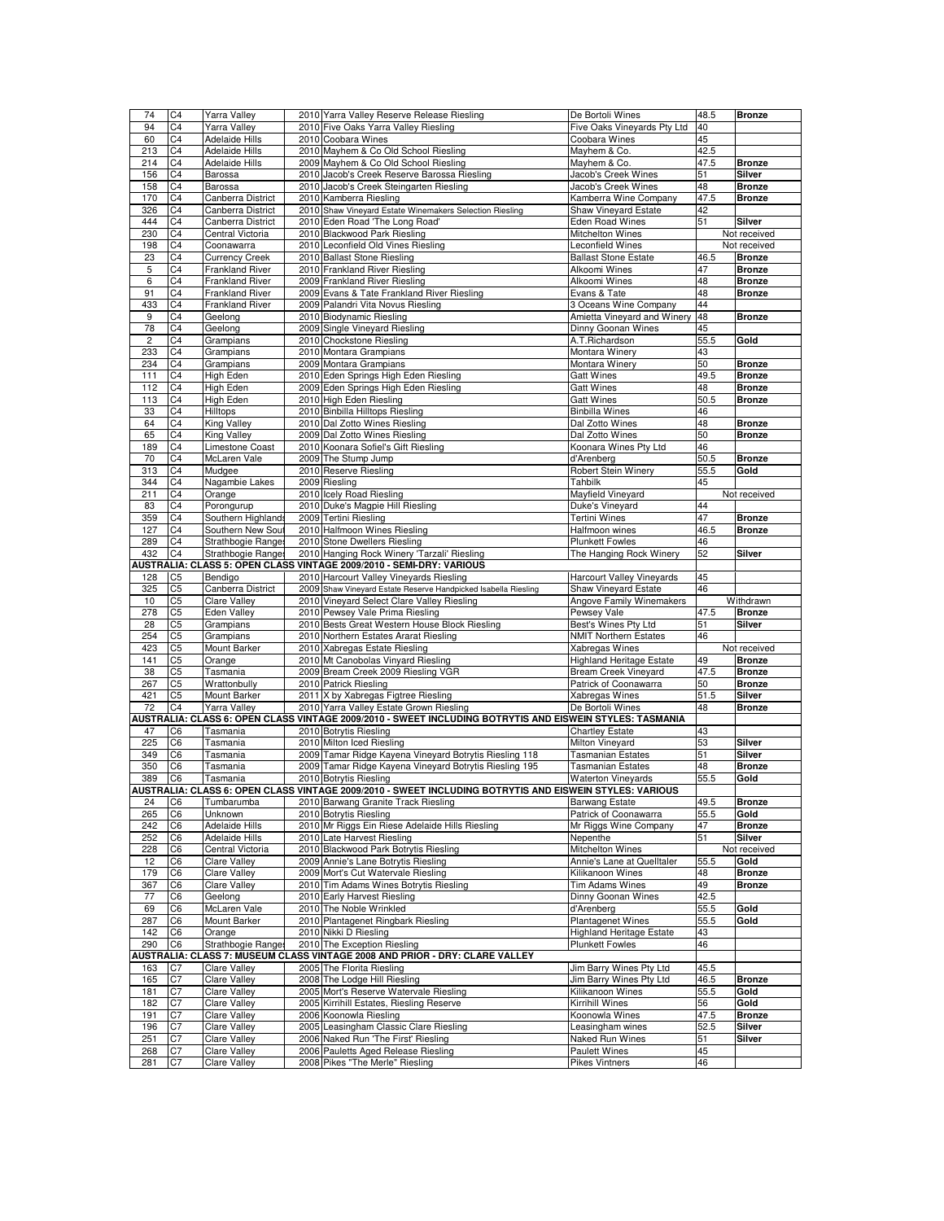| 74             | C4             | Yarra Valley                              | 2010 Yarra Valley Reserve Release Riesling                                                               | De Bortoli Wines                 | 48.5 | <b>Bronze</b> |
|----------------|----------------|-------------------------------------------|----------------------------------------------------------------------------------------------------------|----------------------------------|------|---------------|
| 94             | C <sub>4</sub> | Yarra Valley                              | 2010 Five Oaks Yarra Valley Riesling                                                                     | Five Oaks Vineyards Pty Ltd      | 40   |               |
| 60             | C <sub>4</sub> | <b>Adelaide Hills</b>                     | 2010 Coobara Wines                                                                                       | Coobara Wines                    | 45   |               |
| 213            | C <sub>4</sub> | <b>Adelaide Hills</b>                     | 2010 Mayhem & Co Old School Riesling                                                                     | Mayhem & Co.                     | 42.5 |               |
| 214            | C4             | Adelaide Hills                            | 2009 Mayhem & Co Old School Riesling                                                                     | Mayhem & Co.                     | 47.5 | <b>Bronze</b> |
| 156            | C <sub>4</sub> | Barossa                                   | 2010 Jacob's Creek Reserve Barossa Riesling                                                              | Jacob's Creek Wines              | 51   | Silver        |
| 158            | C4             | Barossa                                   | 2010 Jacob's Creek Steingarten Riesling                                                                  | Jacob's Creek Wines              | 48   | <b>Bronze</b> |
| 170            | C4             |                                           | 2010 Kamberra Riesling                                                                                   | Kamberra Wine Company            | 47.5 | <b>Bronze</b> |
|                |                | Canberra District                         | 2010 Shaw Vineyard Estate Winemakers Selection Riesling                                                  |                                  |      |               |
| 326            | C <sub>4</sub> | Canberra District                         |                                                                                                          | Shaw Vineyard Estate             | 42   |               |
| 444            | C4             | Canberra District                         | 2010 Eden Road 'The Long Road'                                                                           | Eden Road Wines                  | 51   | Silver        |
| 230            | C4             | Central Victoria                          | 2010 Blackwood Park Riesling                                                                             | Mitchelton Wines                 |      | Not received  |
| 198            | C <sub>4</sub> | Coonawarra                                | 2010 Leconfield Old Vines Riesling                                                                       | Leconfield Wines                 |      | Not received  |
| 23             | C4             | <b>Currency Creek</b>                     | 2010 Ballast Stone Riesling                                                                              | <b>Ballast Stone Estate</b>      | 46.5 | <b>Bronze</b> |
| 5              | C <sub>4</sub> | <b>Frankland River</b>                    | 2010 Frankland River Riesling                                                                            | Alkoomi Wines                    | 47   | <b>Bronze</b> |
| 6              | C4             | <b>Frankland River</b>                    | 2009 Frankland River Riesling                                                                            | Alkoomi Wines                    | 48   | <b>Bronze</b> |
| 91             | C4             | <b>Frankland River</b>                    | 2009 Evans & Tate Frankland River Riesling                                                               | Evans & Tate                     | 48   | <b>Bronze</b> |
| 433            | C4             | <b>Frankland River</b>                    | 2009 Palandri Vita Novus Riesling                                                                        | 3 Oceans Wine Company            | 44   |               |
| 9              | C4             | Geelong                                   | 2010 Biodynamic Riesling                                                                                 | Amietta Vineyard and Winery      | 48   | <b>Bronze</b> |
| 78             | C4             | Geelong                                   | 2009 Single Vineyard Riesling                                                                            | Dinny Goonan Wines               | 45   |               |
| $\overline{c}$ | C4             | Grampians                                 | 2010 Chockstone Riesling                                                                                 | A.T.Richardson                   | 55.5 | Gold          |
| 233            | C <sub>4</sub> | Grampians                                 | 2010 Montara Grampians                                                                                   | Montara Winery                   | 43   |               |
| 234            | C <sub>4</sub> | Grampians                                 | 2009 Montara Grampians                                                                                   | Montara Winery                   | 50   | <b>Bronze</b> |
| 111            | C <sub>4</sub> | High Eden                                 | 2010 Eden Springs High Eden Riesling                                                                     | <b>Gatt Wines</b>                | 49.5 | <b>Bronze</b> |
| 112            | C4             | High Eden                                 | 2009 Eden Springs High Eden Riesling                                                                     | <b>Gatt Wines</b>                | 48   | <b>Bronze</b> |
| 113            | C <sub>4</sub> | High Eden                                 | 2010 High Eden Riesling                                                                                  | <b>Gatt Wines</b>                | 50.5 | <b>Bronze</b> |
| 33             | C4             | Hilltops                                  | 2010 Binbilla Hilltops Riesling                                                                          | <b>Binbilla Wines</b>            | 46   |               |
| 64             | C <sub>4</sub> | King Valley                               | 2010 Dal Zotto Wines Riesling                                                                            | Dal Zotto Wines                  | 48   | <b>Bronze</b> |
| 65             | C <sub>4</sub> | <b>King Valley</b>                        | 2009 Dal Zotto Wines Riesling                                                                            | Dal Zotto Wines                  | 50   | <b>Bronze</b> |
|                |                |                                           |                                                                                                          |                                  |      |               |
| 189            | C <sub>4</sub> | Limestone Coast                           | 2010 Koonara Sofiel's Gift Riesling                                                                      | Koonara Wines Pty Ltd            | 46   |               |
| 70             | C4             | McLaren Vale                              | 2009 The Stump Jump                                                                                      | d'Arenberg                       | 50.5 | <b>Bronze</b> |
| 313            | C <sub>4</sub> | Mudgee                                    | 2010 Reserve Riesling                                                                                    | <b>Robert Stein Winery</b>       | 55.5 | Gold          |
| 344            | C4             | Nagambie Lakes                            | 2009 Riesling                                                                                            | Tahbilk                          | 45   |               |
| 211            | C4             | Orange                                    | 2010 Icely Road Riesling                                                                                 | Mayfield Vineyard                |      | Not received  |
| 83             | C <sub>4</sub> | Porongurup                                | 2010 Duke's Magpie Hill Riesling                                                                         | Duke's Vineyard                  | 44   |               |
| 359            | C <sub>4</sub> | Southern Highlands                        | 2009 Tertini Riesling                                                                                    | <b>Tertini Wines</b>             | 47   | <b>Bronze</b> |
| 127            | C4             | Southern New Sou                          | 2010 Halfmoon Wines Riesling                                                                             | Halfmoon wines                   | 46.5 | <b>Bronze</b> |
| 289            | C <sub>4</sub> | Strathbogie Range                         | 2010 Stone Dwellers Riesling                                                                             | <b>Plunkett Fowles</b>           | 46   |               |
| 432            | C <sub>4</sub> | Strathbogie Range                         | 2010 Hanging Rock Winery 'Tarzali' Riesling                                                              | The Hanging Rock Winery          | 52   | Silver        |
|                |                |                                           | AUSTRALIA: CLASS 5: OPEN CLASS VINTAGE 2009/2010 - SEMI-DRY: VARIOUS                                     |                                  |      |               |
| 128            | C <sub>5</sub> | Bendigo                                   | 2010 Harcourt Valley Vineyards Riesling                                                                  | <b>Harcourt Valley Vineyards</b> | 45   |               |
|                |                |                                           |                                                                                                          |                                  |      |               |
|                |                |                                           |                                                                                                          |                                  |      |               |
| 325            | C <sub>5</sub> | Canberra District                         | 2009 Shaw Vineyard Estate Reserve Handpicked Isabella Riesling                                           | Shaw Vineyard Estate             | 46   |               |
| 10             | C <sub>5</sub> | <b>Clare Valley</b>                       | 2010 Vineyard Select Clare Valley Riesling                                                               | Angove Family Winemakers         |      | Withdrawn     |
| 278            | C <sub>5</sub> | Eden Valley                               | 2010 Pewsey Vale Prima Riesling                                                                          | Pewsey Vale                      | 47.5 | <b>Bronze</b> |
| 28             | C5             | Grampians                                 | 2010 Bests Great Western House Block Riesling                                                            | Best's Wines Pty Ltd             | 51   | Silver        |
| 254            | C <sub>5</sub> | Grampians                                 | 2010 Northern Estates Ararat Riesling                                                                    | <b>NMIT Northern Estates</b>     | 46   |               |
| 423            | C <sub>5</sub> | Mount Barker                              | 2010 Xabregas Estate Riesling                                                                            | Xabregas Wines                   |      | Not received  |
| 141            | C <sub>5</sub> | Orange                                    | 2010 Mt Canobolas Vinyard Riesling                                                                       | <b>Highland Heritage Estate</b>  | 49   | <b>Bronze</b> |
| 38             | C <sub>5</sub> | Tasmania                                  | 2009 Bream Creek 2009 Riesling VGR                                                                       | <b>Bream Creek Vineyard</b>      | 47.5 | <b>Bronze</b> |
| 267            | C <sub>5</sub> | Wrattonbully                              | 2010 Patrick Riesling                                                                                    | Patrick of Coonawarra            | 50   | <b>Bronze</b> |
| 421            | C <sub>5</sub> | Mount Barker                              | 2011 X by Xabregas Figtree Riesling                                                                      | Xabregas Wines                   | 51.5 | Silver        |
| 72             | C4             | Yarra Valley                              | 2010 Yarra Valley Estate Grown Riesling                                                                  | De Bortoli Wines                 | 48   | <b>Bronze</b> |
|                |                |                                           | AUSTRALIA: CLASS 6: OPEN CLASS VINTAGE 2009/2010 - SWEET INCLUDING BOTRYTIS AND EISWEIN STYLES: TASMANIA |                                  |      |               |
| 47             | C <sub>6</sub> | Tasmania                                  | 2010 Botrytis Riesling                                                                                   | <b>Chartley Estate</b>           | 43   |               |
| 225            | C <sub>6</sub> | Tasmania                                  | 2010 Milton Iced Riesling                                                                                | Milton Vineyard                  | 53   | Silver        |
| 349            | C6             | Tasmania                                  | 2009 Tamar Ridge Kayena Vineyard Botrytis Riesling 118                                                   | <b>Tasmanian Estates</b>         | 51   | Silver        |
| 350            | C <sub>6</sub> | Tasmania                                  | 2009 Tamar Ridge Kayena Vineyard Botrytis Riesling 195                                                   | <b>Tasmanian Estates</b>         | 48   | <b>Bronze</b> |
| 389            | C6             | Tasmania                                  | 2010 Botrytis Riesling                                                                                   | <b>Waterton Vineyards</b>        | 55.5 | Gold          |
|                |                |                                           | AUSTRALIA: CLASS 6: OPEN CLASS VINTAGE 2009/2010 - SWEET INCLUDING BOTRYTIS AND EISWEIN STYLES: VARIOUS  |                                  |      |               |
| 24             | C6             | Tumbarumba                                | 2010 Barwang Granite Track Riesling                                                                      | Barwang Estate                   | 49.5 | <b>Bronze</b> |
| 265            | C6             | Unknown                                   | 2010 Botrytis Riesling                                                                                   | Patrick of Coonawarra            | 55.5 | Gold          |
| 242            | C6             | <b>Adelaide Hills</b>                     | 2010 Mr Riggs Ein Riese Adelaide Hills Riesling                                                          | Mr Riggs Wine Company            | 47   | <b>Bronze</b> |
|                |                |                                           | 2010 Late Harvest Riesling                                                                               |                                  |      |               |
| 252            | C6             | <b>Adelaide Hills</b><br>Central Victoria | 2010 Blackwood Park Botrytis Riesling                                                                    | Nepenthe                         | 51   | Silver        |
| 228            | C <sub>6</sub> |                                           |                                                                                                          | Mitchelton Wines                 |      | Not received  |
| 12             | C6             | <b>Clare Valley</b>                       | 2009 Annie's Lane Botrytis Riesling                                                                      | Annie's Lane at Quelltaler       | 55.5 | Gold          |
| 179            | C6             | <b>Clare Valley</b>                       | 2009 Mort's Cut Watervale Riesling                                                                       | Kilikanoon Wines                 | 48   | <b>Bronze</b> |
| 367            | C6             | <b>Clare Valley</b>                       | 2010 Tim Adams Wines Botrytis Riesling                                                                   | <b>Tim Adams Wines</b>           | 49   | <b>Bronze</b> |
| 77             | C6             | Geelong                                   | 2010 Early Harvest Riesling                                                                              | Dinny Goonan Wines               | 42.5 |               |
| 69             | C6             | McLaren Vale                              | 2010 The Noble Wrinkled                                                                                  | d'Arenbera                       | 55.5 | Gold          |
| 287            | C6             | Mount Barker                              | 2010 Plantagenet Ringbark Riesling                                                                       | <b>Plantagenet Wines</b>         | 55.5 | Gold          |
| 142            | C <sub>6</sub> | Orange                                    | 2010 Nikki D Riesling                                                                                    | <b>Highland Heritage Estate</b>  | 43   |               |
| 290            | C6             | Strathbogie Ranges                        | 2010 The Exception Riesling                                                                              | <b>Plunkett Fowles</b>           | 46   |               |
|                |                |                                           | USTRALIA: CLASS 7: MUSEUM CLASS VINTAGE 2008 AND PRIOR - DRY: CLARE VALLEY                               |                                  |      |               |
| 163            | C7             | Clare Valley                              | 2005 The Florita Riesling                                                                                | Jim Barry Wines Pty Ltd          | 45.5 |               |
| 165            | C7             | <b>Clare Valley</b>                       | 2008 The Lodge Hill Riesling                                                                             | Jim Barry Wines Pty Ltd          | 46.5 | <b>Bronze</b> |
| 181            | C7             | <b>Clare Valley</b>                       | 2005 Mort's Reserve Watervale Riesling                                                                   | Kilikanoon Wines                 | 55.5 | Gold          |
| 182            | C7             | <b>Clare Valley</b>                       | 2005 Kirrihill Estates, Riesling Reserve                                                                 | Kirrihill Wines                  | 56   | Gold          |
| 191            | C7             | Clare Valley                              | 2006 Koonowla Riesling                                                                                   | Koonowla Wines                   | 47.5 | <b>Bronze</b> |
| 196            | C7             | <b>Clare Valley</b>                       | 2005 Leasingham Classic Clare Riesling                                                                   | Leasingham wines                 | 52.5 | Silver        |
| 251            | C7             | <b>Clare Valley</b>                       | 2006 Naked Run 'The First' Riesling                                                                      | Naked Run Wines                  | 51   | Silver        |
| 268            | C7             | <b>Clare Valley</b>                       | 2006 Pauletts Aged Release Riesling                                                                      | <b>Paulett Wines</b>             | 45   |               |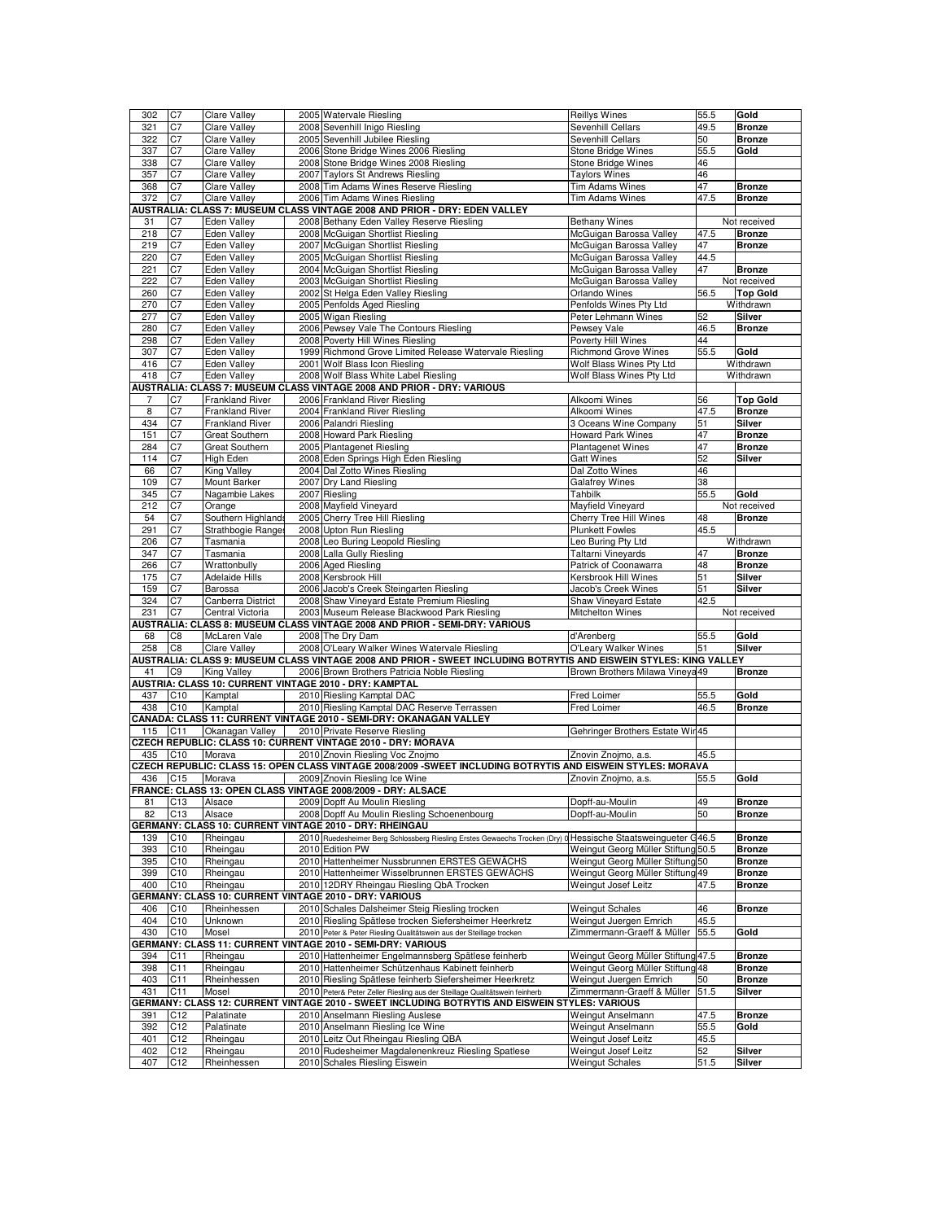| 302        | C <sub>7</sub>  | <b>Clare Valley</b>     | 2005 Watervale Riesling                                                                                                                       | <b>Reillys Wines</b>                          | 55.5         | Gold                           |
|------------|-----------------|-------------------------|-----------------------------------------------------------------------------------------------------------------------------------------------|-----------------------------------------------|--------------|--------------------------------|
| 321        | C7              | <b>Clare Valley</b>     | 2008 Sevenhill Inigo Riesling                                                                                                                 | Sevenhill Cellars                             | 49.5         | <b>Bronze</b>                  |
| 322        | C7              | <b>Clare Valley</b>     | 2005 Sevenhill Jubilee Riesling                                                                                                               | Sevenhill Cellars                             | 50           | <b>Bronze</b>                  |
| 337        | C7              | Clare Valley            | 2006 Stone Bridge Wines 2006 Riesling                                                                                                         | Stone Bridge Wines                            | 55.5         | Gold                           |
| 338        | C7              | <b>Clare Valley</b>     | 2008 Stone Bridge Wines 2008 Riesling                                                                                                         | <b>Stone Bridge Wines</b>                     | 46           |                                |
| 357        | C7              | Clare Valley            | 2007 Taylors St Andrews Riesling                                                                                                              | <b>Taylors Wines</b>                          | 46           |                                |
| 368        | C7              | <b>Clare Valley</b>     | 2008 Tim Adams Wines Reserve Riesling                                                                                                         | Tim Adams Wines                               | 47           | <b>Bronze</b>                  |
| 372        | C7              | Clare Valley            | 2006 Tim Adams Wines Riesling                                                                                                                 | <b>Tim Adams Wines</b>                        | 47.5         | <b>Bronze</b>                  |
|            |                 |                         | AUSTRALIA: CLASS 7: MUSEUM CLASS VINTAGE 2008 AND PRIOR - DRY: EDEN VALLEY                                                                    |                                               |              |                                |
| 31         | C7              | Eden Valley             | 2008 Bethany Eden Valley Reserve Riesling                                                                                                     | <b>Bethany Wines</b>                          |              | Not received                   |
| 218        | C7              | <b>Eden Valley</b>      | 2008 McGuigan Shortlist Riesling                                                                                                              | McGuigan Barossa Valley                       | 47.5         | <b>Bronze</b>                  |
| 219        | C7              | Eden Valley             | 2007 McGuigan Shortlist Riesling                                                                                                              | McGuigan Barossa Valley                       | 47           | <b>Bronze</b>                  |
| 220        | C7              | <b>Eden Valley</b>      | 2005 McGuigan Shortlist Riesling                                                                                                              | McGuigan Barossa Valley                       | 44.5         |                                |
| 221        | C7              | Eden Valley             | 2004 McGuigan Shortlist Riesling                                                                                                              | McGuigan Barossa Valley                       | 47           | <b>Bronze</b>                  |
| 222        | C7              | <b>Eden Valley</b>      | 2003 McGuigan Shortlist Riesling                                                                                                              | McGuigan Barossa Valley                       |              | Not received                   |
| 260        | C7              | <b>Eden Valley</b>      | 2002 St Helga Eden Valley Riesling                                                                                                            | Orlando Wines                                 | 56.5         | <b>Top Gold</b>                |
| 270        | C7              | Eden Valley             | 2005 Penfolds Aged Riesling                                                                                                                   | Penfolds Wines Pty Ltd                        |              | Withdrawn                      |
| 277        | C7              | Eden Valley             | 2005 Wigan Riesling                                                                                                                           | Peter Lehmann Wines                           | 52           | Silver                         |
| 280        | C7              | Eden Valley             | 2006 Pewsey Vale The Contours Riesling                                                                                                        | Pewsey Vale                                   | 46.5         | <b>Bronze</b>                  |
| 298        | C7              | Eden Valley             | 2008 Poverty Hill Wines Riesling                                                                                                              | Poverty Hill Wines                            | 44           |                                |
| 307        | C7              | Eden Valley             | 1999 Richmond Grove Limited Release Watervale Riesling                                                                                        | <b>Richmond Grove Wines</b>                   | 55.5         | Gold                           |
| 416        | C7              | <b>Eden Valley</b>      | 2001 Wolf Blass Icon Riesling                                                                                                                 | Wolf Blass Wines Pty Ltd                      |              | Withdrawn                      |
| 418        | C7              | <b>Eden Valley</b>      | 2008 Wolf Blass White Label Riesling                                                                                                          | Wolf Blass Wines Pty Ltd                      |              | Withdrawn                      |
|            |                 |                         | AUSTRALIA: CLASS 7: MUSEUM CLASS VINTAGE 2008 AND PRIOR - DRY: VARIOUS                                                                        |                                               |              |                                |
| 7          | C7              | <b>Frankland River</b>  | 2006 Frankland River Riesling                                                                                                                 | Alkoomi Wines                                 | 56           | <b>Top Gold</b>                |
| 8          | C <sub>7</sub>  | <b>Frankland River</b>  | 2004 Frankland River Riesling                                                                                                                 | Alkoomi Wines                                 | 47.5         | <b>Bronze</b>                  |
| 434        | C7              | <b>Frankland River</b>  | 2006 Palandri Riesling                                                                                                                        | 3 Oceans Wine Company                         | 51           | Silver                         |
| 151        | C7              | Great Southern          | 2008 Howard Park Riesling                                                                                                                     | Howard Park Wines                             | 47           | <b>Bronze</b>                  |
| 284        | C7              | Great Southern          | 2005 Plantagenet Riesling                                                                                                                     | <b>Plantagenet Wines</b>                      | 47           | <b>Bronze</b>                  |
| 114        | C7              | High Eden               | 2008 Eden Springs High Eden Riesling                                                                                                          | <b>Gatt Wines</b>                             | 52           | Silver                         |
| 66         | C7              | King Valley             | 2004 Dal Zotto Wines Riesling                                                                                                                 | Dal Zotto Wines                               | 46           |                                |
| 109        | C7              | <b>Mount Barker</b>     | 2007 Dry Land Riesling                                                                                                                        | <b>Galafrey Wines</b>                         | 38           |                                |
| 345        | C7              | Nagambie Lakes          | 2007 Riesling                                                                                                                                 | Tahbilk                                       | 55.5         | Gold                           |
| 212        | C7              | Orange                  | 2008 Mayfield Vineyard                                                                                                                        | Mayfield Vineyard                             |              | Not received                   |
| 54         | C7              | Southern Highlands      | 2005 Cherry Tree Hill Riesling                                                                                                                | <b>Cherry Tree Hill Wines</b>                 | 48           | <b>Bronze</b>                  |
| 291        | C7              | Strathbogie Range       | 2008 Upton Run Riesling                                                                                                                       | <b>Plunkett Fowles</b>                        | 45.5         |                                |
| 206        | C7              | Tasmania                | 2008 Leo Buring Leopold Riesling                                                                                                              | Leo Buring Pty Ltd                            |              | Withdrawn                      |
| 347        | C7              | Tasmania                | 2008 Lalla Gully Riesling                                                                                                                     | Taltarni Vineyards                            | 47           | <b>Bronze</b>                  |
| 266        | C7              | Wrattonbully            | 2006 Aged Riesling                                                                                                                            | Patrick of Coonawarra                         | 48           | <b>Bronze</b>                  |
| 175        | C7              | <b>Adelaide Hills</b>   | 2008 Kersbrook Hill                                                                                                                           | Kersbrook Hill Wines                          | 51           | Silver                         |
|            |                 |                         |                                                                                                                                               |                                               |              |                                |
|            |                 |                         |                                                                                                                                               |                                               |              |                                |
| 159        | C7              | Barossa                 | 2006 Jacob's Creek Steingarten Riesling                                                                                                       | Jacob's Creek Wines                           | 51           | Silver                         |
| 324        | C7              | Canberra District       | 2008 Shaw Vineyard Estate Premium Riesling                                                                                                    | Shaw Vineyard Estate                          | 42.5         |                                |
| 231        | C7              | Central Victoria        | 2003 Museum Release Blackwood Park Riesling                                                                                                   | Mitchelton Wines                              |              | Not received                   |
|            |                 |                         | AUSTRALIA: CLASS 8: MUSEUM CLASS VINTAGE 2008 AND PRIOR - SEMI-DRY: VARIOUS                                                                   |                                               |              |                                |
| 68         | C8              | McLaren Vale            | 2008 The Dry Dam                                                                                                                              | d'Arenberg                                    | 55.5         | Gold                           |
| 258        | C <sub>8</sub>  | <b>Clare Valley</b>     | 2008 O'Leary Walker Wines Watervale Riesling                                                                                                  | O'Leary Walker Wines                          | 51           | <b>Silver</b>                  |
|            |                 |                         | AUSTRALIA: CLASS 9: MUSEUM CLASS VINTAGE 2008 AND PRIOR - SWEET INCLUDING BOTRYTIS AND EISWEIN STYLES: KING VALLEY                            |                                               |              |                                |
| 41         | C9              | <b>King Valley</b>      | 2006 Brown Brothers Patricia Noble Riesling                                                                                                   | Brown Brothers Milawa Vineya 49               |              | <b>Bronze</b>                  |
|            |                 |                         | AUSTRIA: CLASS 10: CURRENT VINTAGE 2010 - DRY: KAMPTAL                                                                                        |                                               |              |                                |
| 437<br>438 | C <sub>10</sub> | Kamptal                 | 2010 Riesling Kamptal DAC                                                                                                                     | Fred Loimer<br>Fred Loimer                    | 55.5<br>46.5 | Gold<br><b>Bronze</b>          |
|            | C <sub>10</sub> | Kamptal                 | 2010 Riesling Kamptal DAC Reserve Terrassen<br>CANADA: CLASS 11: CURRENT VINTAGE 2010 - SEMI-DRY: OKANAGAN VALLEY                             |                                               |              |                                |
| 115        |                 |                         |                                                                                                                                               |                                               |              |                                |
|            | C11             | Okanagan Valley         | 2010 Private Reserve Riesling                                                                                                                 | Gehringer Brothers Estate Wir45               |              |                                |
| 435        |                 | Morava                  | CZECH REPUBLIC: CLASS 10: CURRENT VINTAGE 2010 - DRY: MORAVA                                                                                  |                                               |              |                                |
|            | C <sub>10</sub> |                         | 2010 Znovin Riesling Voc Znojmo                                                                                                               | Znovin Znojmo, a.s.                           | 45.5         |                                |
| 436        | C <sub>15</sub> | Morava                  | CZECH REPUBLIC: CLASS 15: OPEN CLASS VINTAGE 2008/2009 - SWEET INCLUDING BOTRYTIS AND EISWEIN STYLES: MORAVA<br>2009 Znovin Riesling Ice Wine | Znovin Znojmo, a.s.                           | 55.5         | Gold                           |
|            |                 |                         |                                                                                                                                               |                                               |              |                                |
|            |                 |                         | FRANCE: CLASS 13: OPEN CLASS VINTAGE 2008/2009 - DRY: ALSACE                                                                                  |                                               |              | <b>Bronze</b>                  |
| 81<br>82   | C <sub>13</sub> | Alsace                  | 2009 Dopff Au Moulin Riesling                                                                                                                 | Dopff-au-Moulin<br>Dopff-au-Moulin            | 49<br>50     |                                |
|            | C13             | Alsace                  | 2008 Dopff Au Moulin Riesling Schoenenbourg<br>GERMANY: CLASS 10: CURRENT VINTAGE 2010 - DRY: RHEINGAU                                        |                                               |              | <b>Bronze</b>                  |
| 139        |                 |                         | 2010 Ruedesheimer Berg Schlossberg Riesling Erstes Gewaechs Trocken (Dry) 0 Hessische Staatsweinqueter G46.5                                  |                                               |              |                                |
| 393        | C10             | Rheingau                | 2010 Edition PW                                                                                                                               |                                               |              | <b>Bronze</b><br><b>Bronze</b> |
|            | C <sub>10</sub> | Rheingau<br>Rheingau    |                                                                                                                                               | Weingut Georg Müller Stiftung 50.5            |              | <b>Bronze</b>                  |
| 395        | C <sub>10</sub> |                         | 2010 Hattenheimer Nussbrunnen ERSTES GEWÄCHS                                                                                                  | Weingut Georg Müller Stiftung 50              |              |                                |
| 399        | C <sub>10</sub> | Rheingau                | 2010 Hattenheimer Wisselbrunnen ERSTES GEWÄCHS                                                                                                | Weingut Georg Müller Stiftung                 | 49           | <b>Bronze</b>                  |
| 400        | C10             | Rheingau                | 2010 12DRY Rheingau Riesling QbA Trocken                                                                                                      | Weingut Josef Leitz                           | 47.5         | <b>Bronze</b>                  |
|            |                 |                         | GERMANY: CLASS 10: CURRENT VINTAGE 2010 - DRY: VARIOUS                                                                                        |                                               |              |                                |
| 406        | C10             | Rheinhessen             | 2010 Schales Dalsheimer Steig Riesling trocken                                                                                                | <b>Weingut Schales</b>                        | 46           | <b>Bronze</b>                  |
| 404        | C <sub>10</sub> | Unknown                 | 2010 Riesling Spätlese trocken Siefersheimer Heerkretz                                                                                        | Weingut Juergen Emrich                        | 45.5         |                                |
| 430        | C10             | Mosel                   | 2010 Peter & Peter Riesling Qualitätswein aus der Steillage trocken                                                                           | Zimmermann-Graeff & Müller                    | 55.5         | Gold                           |
|            |                 |                         | GERMANY: CLASS 11: CURRENT VINTAGE 2010 - SEMI-DRY: VARIOUS                                                                                   |                                               |              |                                |
| 394        | C11             | Rheingau                | 2010 Hattenheimer Engelmannsberg Spätlese feinherb                                                                                            | Weingut Georg Müller Stiftung 47.5            |              | <b>Bronze</b>                  |
| 398        | C <sub>11</sub> | Rheingau                | 2010 Hattenheimer Schützenhaus Kabinett feinherb                                                                                              | Weingut Georg Müller Stiftung 48              |              | <b>Bronze</b>                  |
| 403        | C11             | Rheinhessen             | 2010 Riesling Spätlese feinherb Siefersheimer Heerkretz                                                                                       | Weingut Juergen Emrich                        | 50           | <b>Bronze</b>                  |
| 431        | C11             | Mosel                   | 2010 Peter& Peter Zeller Riesling aus der Steillage Qualitätswein feinherb                                                                    | Zimmermann-Graeff & Müller                    | 51.5         | Silver                         |
|            |                 |                         | GERMANY: CLASS 12: CURRENT VINTAGE 2010 - SWEET INCLUDING BOTRYTIS AND EISWEIN STYLES: VARIOUS                                                |                                               |              |                                |
| 391        | C12             | Palatinate              | 2010 Anselmann Riesling Auslese                                                                                                               | Weingut Anselmann                             | 47.5         | <b>Bronze</b>                  |
| 392        | C <sub>12</sub> | Palatinate              | 2010 Anselmann Riesling Ice Wine                                                                                                              | Weingut Anselmann                             | 55.5         | Gold                           |
| 401        | C <sub>12</sub> | Rheingau                | 2010 Leitz Out Rheingau Riesling QBA                                                                                                          | Weingut Josef Leitz                           | 45.5         |                                |
| 402<br>407 | C12<br>C12      | Rheingau<br>Rheinhessen | 2010 Rudesheimer Magdalenenkreuz Riesling Spatlese<br>2010 Schales Riesling Eiswein                                                           | Weingut Josef Leitz<br><b>Weingut Schales</b> | 52<br>51.5   | Silver<br>Silver               |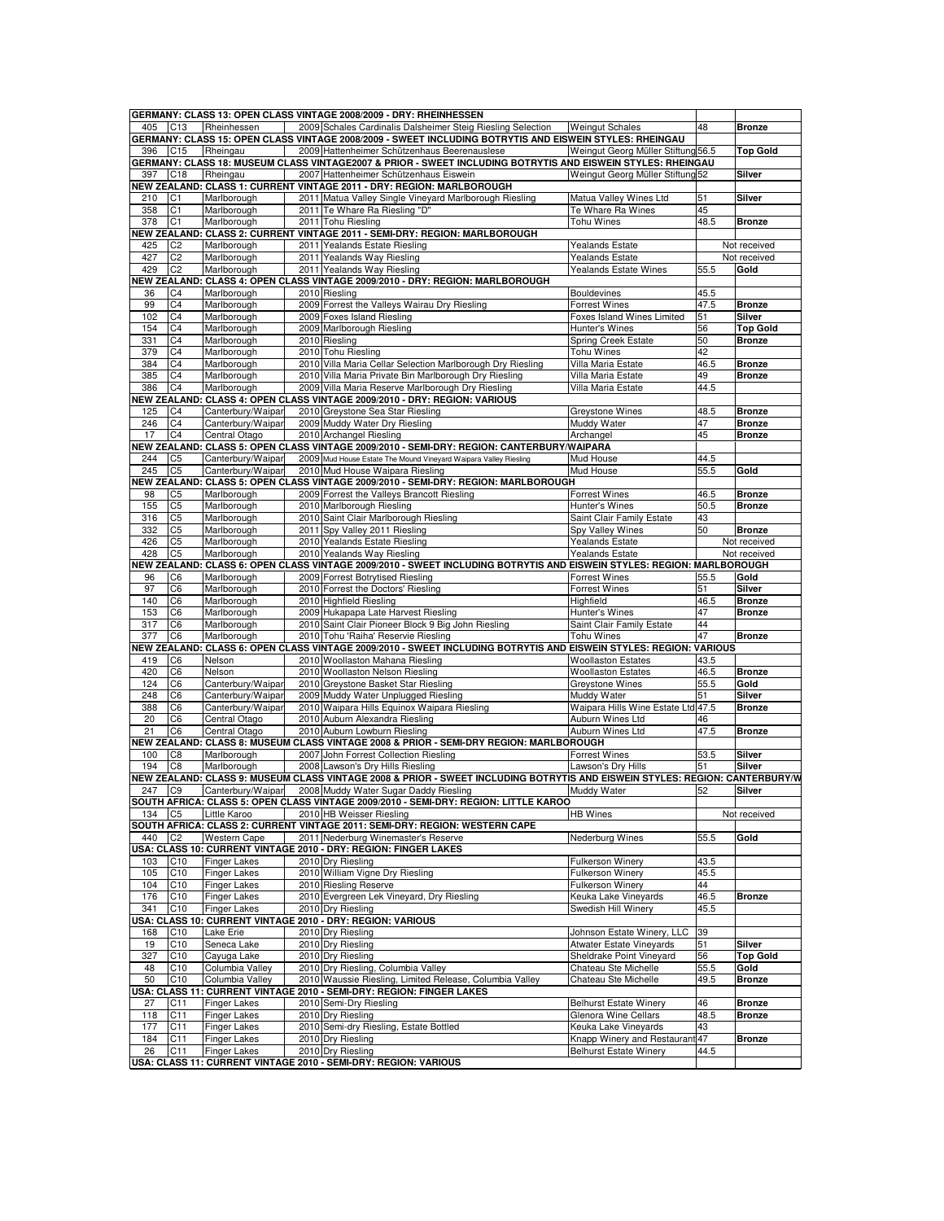|        |                 |                     | GERMANY: CLASS 13: OPEN CLASS VINTAGE 2008/2009 - DRY: RHEINHESSEN                                                          |                                    |      |                 |
|--------|-----------------|---------------------|-----------------------------------------------------------------------------------------------------------------------------|------------------------------------|------|-----------------|
| 405    | C13             | Rheinhessen         | 2009 Schales Cardinalis Dalsheimer Steig Riesling Selection                                                                 | <b>Weingut Schales</b>             | 48   | <b>Bronze</b>   |
|        |                 |                     | GERMANY: CLASS 15: OPEN CLASS VINTAGE 2008/2009 - SWEET INCLUDING BOTRYTIS AND EISWEIN STYLES: RHEINGAU                     |                                    |      |                 |
| 396    | C15             | Rheingau            | 2009 Hattenheimer Schützenhaus Beerenauslese                                                                                | Weingut Georg Müller Stiftung 56.5 |      | <b>Top Gold</b> |
|        |                 |                     | GERMANY: CLASS 18: MUSEUM CLASS VINTAGE2007 & PRIOR - SWEET INCLUDING BOTRYTIS AND EISWEIN STYLES: RHEINGAU                 |                                    |      |                 |
| 397    | C <sub>18</sub> | Rheingau            | 2007 Hattenheimer Schützenhaus Eiswein                                                                                      | Weingut Georg Müller Stiftung 52   |      | Silver          |
|        |                 |                     | NEW ZEALAND: CLASS 1: CURRENT VINTAGE 2011 - DRY: REGION: MARLBOROUGH                                                       |                                    |      |                 |
| 210    | C1              | Marlborough         | 2011 Matua Valley Single Vineyard Marlborough Riesling                                                                      | Matua Valley Wines Ltd             | 51   | Silver          |
| 358    | C1              | Marlborough         | 2011 Te Whare Ra Riesling "D"                                                                                               | Te Whare Ra Wines                  | 45   |                 |
| 378    | C <sub>1</sub>  | Marlborough         | 2011 Tohu Riesling                                                                                                          | Tohu Wines                         | 48.5 | <b>Bronze</b>   |
|        |                 |                     | NEW ZEALAND: CLASS 2: CURRENT VINTAGE 2011 - SEMI-DRY: REGION: MARLBOROUGH                                                  |                                    |      |                 |
| 425    | C <sub>2</sub>  | Marlborough         | 2011 Yealands Estate Riesling                                                                                               | Yealands Estate                    |      | Not received    |
| 427    | C <sub>2</sub>  | Marlborough         | 2011 Yealands Way Riesling                                                                                                  | <b>Yealands Estate</b>             |      | Not received    |
| 429    | C <sub>2</sub>  | Marlborough         | 2011 Yealands Way Riesling                                                                                                  | Yealands Estate Wines              | 55.5 | Gold            |
|        |                 |                     | NEW ZEALAND: CLASS 4: OPEN CLASS VINTAGE 2009/2010 - DRY: REGION: MARLBOROUGH                                               |                                    |      |                 |
| 36     | C <sub>4</sub>  | Marlborough         | 2010 Riesling                                                                                                               | <b>Bouldevines</b>                 | 45.5 |                 |
| 99     | C <sub>4</sub>  | Marlborough         | 2009 Forrest the Valleys Wairau Dry Riesling                                                                                | <b>Forrest Wines</b>               | 47.5 | <b>Bronze</b>   |
| 102    | C <sub>4</sub>  | Marlborough         | 2009 Foxes Island Riesling                                                                                                  | Foxes Island Wines Limited         | 51   | <b>Silver</b>   |
| 154    | C <sub>4</sub>  | Marlborough         | 2009 Marlborough Riesling                                                                                                   | Hunter's Wines                     | 56   | <b>Top Gold</b> |
| 331    | C <sub>4</sub>  | Marlborough         | 2010 Riesling                                                                                                               | Spring Creek Estate                | 50   | <b>Bronze</b>   |
| 379    | C <sub>4</sub>  | Marlborough         | 2010 Tohu Riesling                                                                                                          | <b>Tohu Wines</b>                  | 42   |                 |
| 384    | C4              | Marlborough         | 2010 Villa Maria Cellar Selection Marlborough Dry Riesling                                                                  | Villa Maria Estate                 | 46.5 | <b>Bronze</b>   |
| 385    | C <sub>4</sub>  | Marlborough         | 2010 Villa Maria Private Bin Marlborough Dry Riesling                                                                       | Villa Maria Estate                 | 49   | <b>Bronze</b>   |
| 386    | C <sub>4</sub>  | Marlborough         | 2009 Villa Maria Reserve Marlborough Dry Riesling                                                                           | Villa Maria Estate                 | 44.5 |                 |
|        |                 |                     | NEW ZEALAND: CLASS 4: OPEN CLASS VINTAGE 2009/2010 - DRY: REGION: VARIOUS                                                   |                                    |      |                 |
| 125    | C4              | Canterbury/Waipar   | 2010 Greystone Sea Star Riesling                                                                                            | <b>Greystone Wines</b>             | 48.5 | <b>Bronze</b>   |
| 246    | C <sub>4</sub>  | Canterbury/Waipar   | 2009 Muddy Water Dry Riesling                                                                                               | Muddy Water                        | 47   | <b>Bronze</b>   |
| 17     | C <sub>4</sub>  | Central Otago       | 2010 Archangel Riesling                                                                                                     | Archangel                          | 45   | <b>Bronze</b>   |
|        |                 |                     |                                                                                                                             |                                    |      |                 |
|        |                 |                     | NEW ZEALAND: CLASS 5: OPEN CLASS VINTAGE 2009/2010 - SEMI-DRY: REGION: CANTERBURY/WAIPARA                                   |                                    |      |                 |
| 244    | C <sub>5</sub>  | Canterbury/Waipar   | 2009 Mud House Estate The Mound Vineyard Waipara Valley Riesling                                                            | Mud House                          | 44.5 |                 |
| 245    | C <sub>5</sub>  | Canterbury/Waipar   | 2010 Mud House Waipara Riesling                                                                                             | Mud House                          | 55.5 | Gold            |
|        |                 |                     | NEW ZEALAND: CLASS 5: OPEN CLASS VINTAGE 2009/2010 - SEMI-DRY: REGION: MARLBOROUGH                                          |                                    |      |                 |
| 98     | C <sub>5</sub>  | Marlborough         | 2009 Forrest the Valleys Brancott Riesling                                                                                  | <b>Forrest Wines</b>               | 46.5 | <b>Bronze</b>   |
| 155    | C <sub>5</sub>  | Marlborough         | 2010 Marlborough Riesling                                                                                                   | Hunter's Wines                     | 50.5 | <b>Bronze</b>   |
| 316    | C <sub>5</sub>  | Marlborough         | 2010 Saint Clair Marlborough Riesling                                                                                       | Saint Clair Family Estate          | 43   |                 |
| 332    | C <sub>5</sub>  | Marlborough         | 2011 Spy Valley 2011 Riesling                                                                                               | Spy Valley Wines                   | 50   | <b>Bronze</b>   |
| 426    | C <sub>5</sub>  | Marlborough         | 2010 Yealands Estate Riesling                                                                                               | <b>Yealands Estate</b>             |      | Not received    |
| 428    | C <sub>5</sub>  | Marlborough         | 2010 Yealands Way Riesling                                                                                                  | <b>Yealands Estate</b>             |      | Not received    |
|        |                 |                     | NEW ZEALAND: CLASS 6: OPEN CLASS VINTAGE 2009/2010 - SWEET INCLUDING BOTRYTIS AND EISWEIN STYLES: REGION: MARLBOROUGH       |                                    |      |                 |
| 96     | C6              | Marlborough         | 2009 Forrest Botrytised Riesling                                                                                            | <b>Forrest Wines</b>               | 55.5 | Gold            |
| 97     | C6              | Marlborough         | 2010 Forrest the Doctors' Riesling                                                                                          | <b>Forrest Wines</b>               | 51   | Silver          |
| 140    | C <sub>6</sub>  | Marlborough         | 2010 Highfield Riesling                                                                                                     | Highfield                          | 46.5 | <b>Bronze</b>   |
| 153    | C <sub>6</sub>  | Marlborough         | 2009 Hukapapa Late Harvest Riesling                                                                                         | Hunter's Wines                     | 47   | <b>Bronze</b>   |
| 317    | C6              | Marlborough         | 2010 Saint Clair Pioneer Block 9 Big John Riesling                                                                          | Saint Clair Family Estate          | 44   |                 |
|        |                 |                     |                                                                                                                             |                                    | 47   |                 |
| 377    | C <sub>6</sub>  | Marlborough         | 2010 Tohu 'Raiha' Reservie Riesling                                                                                         | <b>Tohu Wines</b>                  |      | <b>Bronze</b>   |
|        |                 |                     | NEW ZEALAND: CLASS 6: OPEN CLASS VINTAGE 2009/2010 - SWEET INCLUDING BOTRYTIS AND EISWEIN STYLES: REGION: VARIOUS           |                                    |      |                 |
| 419    | C <sub>6</sub>  | Nelson              | 2010 Woollaston Mahana Riesling                                                                                             | <b>Woollaston Estates</b>          | 43.5 |                 |
| 420    | C <sub>6</sub>  | Nelson              | 2010 Woollaston Nelson Riesling                                                                                             | <b>Woollaston Estates</b>          | 46.5 | <b>Bronze</b>   |
| 124    | C6              | Canterbury/Waipar   | 2010 Greystone Basket Star Riesling                                                                                         | Greystone Wines                    | 55.5 | Gold            |
| 248    | C <sub>6</sub>  | Canterbury/Waipar   | 2009 Muddy Water Unplugged Riesling                                                                                         | Muddy Water                        | 51   | Silver          |
| 388    | C6              | Canterbury/Waipar   | 2010 Waipara Hills Equinox Waipara Riesling                                                                                 | Waipara Hills Wine Estate Ltd 47.5 |      | <b>Bronze</b>   |
| 20     | C <sub>6</sub>  | Central Otago       |                                                                                                                             |                                    |      |                 |
| 21     | C <sub>6</sub>  | Central Otago       | 2010 Auburn Alexandra Riesling                                                                                              | Auburn Wines Ltd                   | 46   |                 |
|        |                 |                     | 2010 Auburn Lowburn Riesling                                                                                                | Auburn Wines Ltd                   | 47.5 | <b>Bronze</b>   |
|        |                 |                     | NEW ZEALAND: CLASS 8: MUSEUM CLASS VINTAGE 2008 & PRIOR - SEMI-DRY REGION: MARLBOROUGH                                      |                                    |      |                 |
| 100    | C <sub>8</sub>  | Marlborough         | 2007 John Forrest Collection Riesling                                                                                       | <b>Forrest Wines</b>               | 53.5 | Silver          |
| 194    | C <sub>8</sub>  | Marlborough         | 2008 Lawson's Dry Hills Riesling                                                                                            | Lawson's Dry Hills                 | 51   | <b>Silver</b>   |
|        |                 |                     | NEW ZEALAND: CLASS 9: MUSEUM CLASS VINTAGE 2008 & PRIOR - SWEET INCLUDING BOTRYTIS AND EISWEIN STYLES: REGION: CANTERBURY/W |                                    |      |                 |
| 247 C9 |                 |                     |                                                                                                                             | Muddy Water                        | 52   | <b>Silver</b>   |
|        |                 | Canterbury/Waipar   | 2008 Muddy Water Sugar Daddy Riesling                                                                                       |                                    |      |                 |
|        |                 |                     | SOUTH AFRICA: CLASS 5: OPEN CLASS VINTAGE 2009/2010 - SEMI-DRY: REGION: LITTLE KAROO                                        |                                    |      |                 |
| 134 C5 |                 | Little Karoo        | 2010 HB Weisser Riesling                                                                                                    | <b>HB</b> Wines                    |      | Not received    |
|        |                 |                     | SOUTH AFRICA: CLASS 2: CURRENT VINTAGE 2011: SEMI-DRY: REGION: WESTERN CAPE                                                 |                                    |      |                 |
| 440    | C <sub>2</sub>  | <b>Western Cape</b> | 2011 Nederburg Winemaster's Reserve                                                                                         | Nederburg Wines                    | 55.5 | Gold            |
|        |                 |                     | USA: CLASS 10: CURRENT VINTAGE 2010 - DRY: REGION: FINGER LAKES                                                             |                                    |      |                 |
| 103    | C <sub>10</sub> | <b>Finger Lakes</b> | 2010 Dry Riesling                                                                                                           | <b>Fulkerson Winery</b>            | 43.5 |                 |
| 105    | C10             | Finger Lakes        | 2010 William Vigne Dry Riesling                                                                                             | Fulkerson Winery                   | 45.5 |                 |
| 104    | C10             | <b>Finger Lakes</b> | 2010 Riesling Reserve                                                                                                       | Fulkerson Winery                   | 44   |                 |
| 176    | C10             | <b>Finger Lakes</b> | 2010 Evergreen Lek Vineyard, Dry Riesling                                                                                   | Keuka Lake Vineyards               | 46.5 | <b>Bronze</b>   |
| 341    | C <sub>10</sub> | <b>Finger Lakes</b> | 2010 Dry Riesling                                                                                                           | Swedish Hill Winerv                | 45.5 |                 |
|        |                 |                     | USA: CLASS 10: CURRENT VINTAGE 2010 - DRY: REGION: VARIOUS                                                                  |                                    |      |                 |
| 168    | C10             | Lake Erie           | 2010 Dry Riesling                                                                                                           | Johnson Estate Winery, LLC         | 39   |                 |
| 19     | C10             | Seneca Lake         | 2010 Dry Riesling                                                                                                           | Atwater Estate Vineyards           | 51   | Silver          |
|        |                 | Cayuga Lake         | 2010 Drv Riesling                                                                                                           | Sheldrake Point Vineyard           |      |                 |
| 327    | C10             |                     |                                                                                                                             |                                    | 56   | <b>Top Gold</b> |
| 48     | C10             | Columbia Valley     | 2010 Dry Riesling, Columbia Valley                                                                                          | Chateau Ste Michelle               | 55.5 | Gold            |
| 50     | C10             | Columbia Valley     | 2010 Waussie Riesling, Limited Release, Columbia Valley                                                                     | Chateau Ste Michelle               | 49.5 | <b>Bronze</b>   |
|        |                 |                     | USA: CLASS 11: CURRENT VINTAGE 2010 - SEMI-DRY: REGION: FINGER LAKES                                                        |                                    |      |                 |
| 27     | C11             | <b>Finger Lakes</b> | 2010 Semi-Dry Riesling                                                                                                      | <b>Belhurst Estate Winery</b>      | 46   | <b>Bronze</b>   |
| 118    | C11             | <b>Finger Lakes</b> | 2010 Dry Riesling                                                                                                           | Glenora Wine Cellars               | 48.5 | <b>Bronze</b>   |
| 177    | C <sub>11</sub> | Finger Lakes        | 2010 Semi-dry Riesling, Estate Bottled                                                                                      | Keuka Lake Vineyards               | 43   |                 |
| 184    | C11             | <b>Finger Lakes</b> | 2010 Dry Riesling                                                                                                           | Knapp Winery and Restaurar         | 47   | <b>Bronze</b>   |
| 26     | C11             | <b>Finger Lakes</b> | 2010 Dry Riesling<br>USA: CLASS 11: CURRENT VINTAGE 2010 - SEMI-DRY: REGION: VARIOUS                                        | <b>Belhurst Estate Winery</b>      | 44.5 |                 |